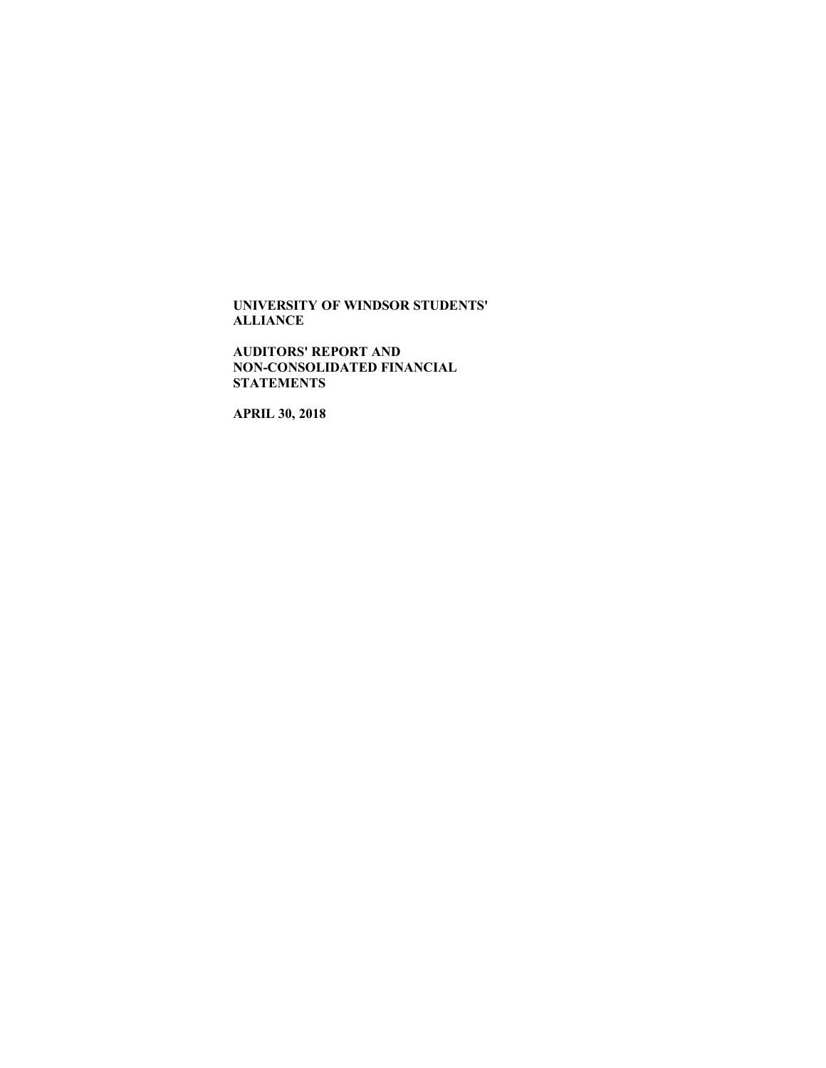**AUDITORS' REPORT AND NON-CONSOLIDATED FINANCIAL STATEMENTS**

**APRIL 30, 2018**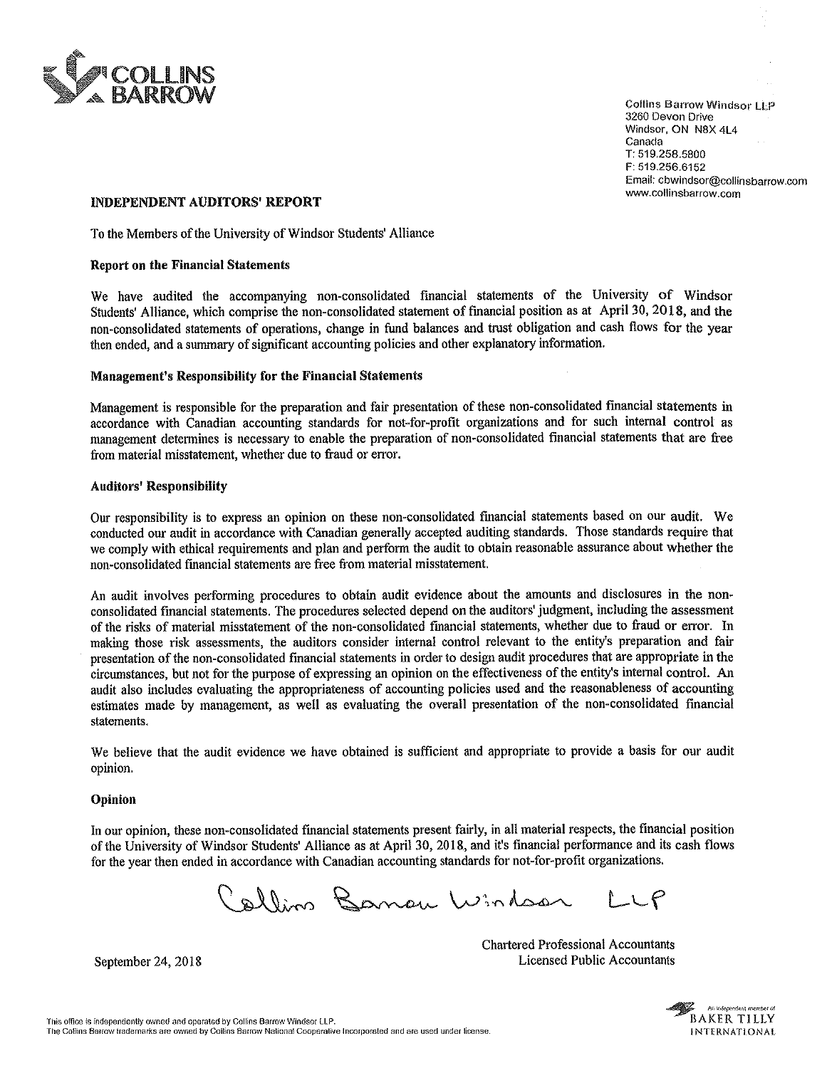

**Collins Barrow Windsor LLP** 3260 Devon Drive Windsor, ON N8X 4L4<br>Canada Canada<br>T T: 519.258.5800 F: 519.256.6152 Email: cbwindsor@collinsbarrow.com<br>www.collinsbarrow.com

## INDEPENDENT AUDITORS' REPORT

To the Members of the University of Windsor Students' Alliance

## Report on the Financial Statements

We have audited the accompanying non-consolidated financial statements of the University of Windsor Students' Alliance, which comprise the non-consolidated statement of financial position as at April 30, 2018, and the non-consolidated statements of operations, change in fund balances and trust obligation and cash flows for the vear then ended, and a summary of significant accounting policies and other explanatory information.

### Management's Responsibility for the Financial Statements

Management is responsible for the preparation and fair presentation of these non-consolidated financial statements in accordance with Canadian accounting standards for not—for-profit organizations and for such intemal control as management determines is necessaxy to enable the preparation of non-consolidated financial statements that are free from material misstatement, whether due to fraud or error.

### Auditors' Responsibility

Our responsibility is to express an opinion on these non-consolidated financial statements based on our audit. We conducted our audit in accordance with Canadian generally accepted auditing standards. Those standards require that we comply with ethical requirements and plan and perform the audit to obtain reasonable assurance about whether the non-consolidated financial statements are free from material misstatement.

An audit involves perfonning procedures to obtain audit evidence about the amounts and disclosures in the nonconsolidated financial statements. The procedures selected depend on the auditors' judgment, including the assessment of the risks of material misstatement of the non-consolidated financial statements, whether due to fraud or error. In making those risk assessments, the auditors consider internal control relevant to the entity's preparation and fair presentation of the non-consolidated financial statements in order to design audit procedures that are appropriate in the circumstances, but not for the purpose of expressing an opinion on the effectiveness of the entity's internal control. An audit also includes evaluating the appropriateness of accounting policies used and the reasonableness of accounting estimates made by management, as well as evaluating the overall presentation of the nomconsolidated financial statements.

We believe that the audit evidence we have obtained is sufficient and appropriate to provide a basis for our audit opinion.

### Opinion

In our opinion, these nomconsolidated financial statements present fairly, in all material respects, the financial position of the University of Windsor Students' Alliance as at April 30, 2018, and it's financial performance and its cash flows for the year then ended in accordance with Canadian accounting standards for not-for-profit organizations.

Callin Banou Windson LLP

Chartered Professional Accountants September 24, 2018 **Licensed Public Accountants**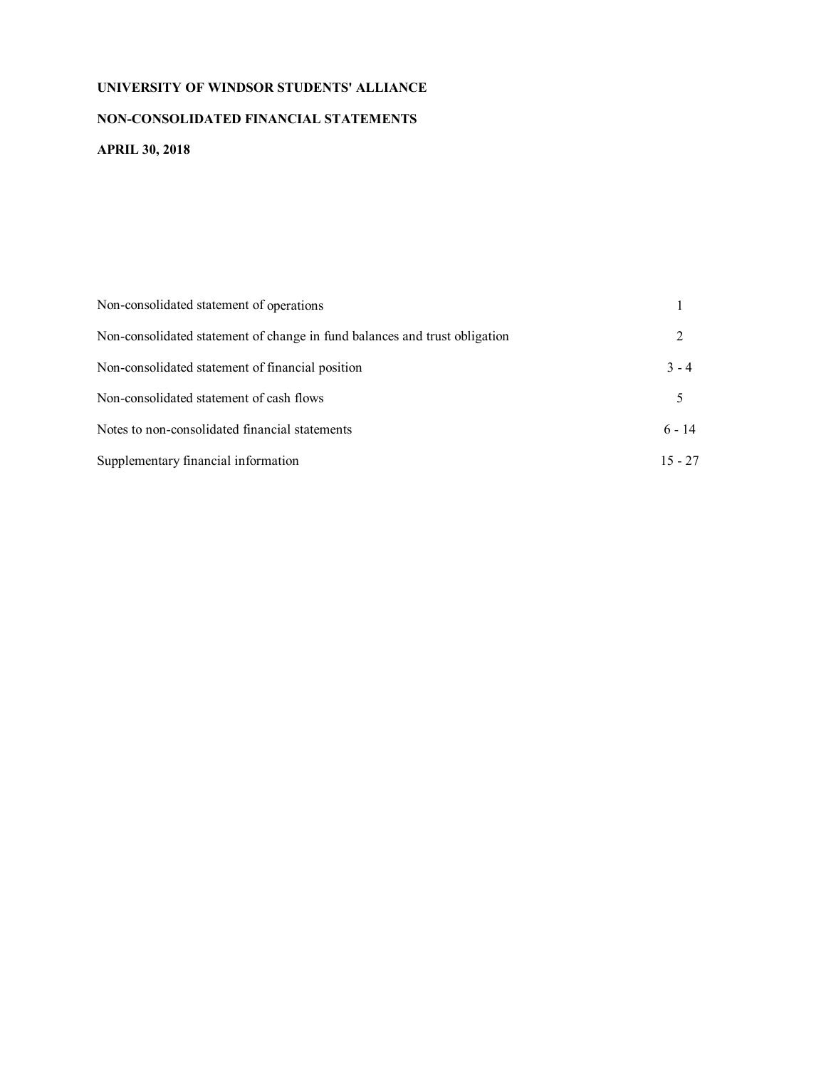# **NON-CONSOLIDATED FINANCIAL STATEMENTS**

# **APRIL 30, 2018**

| Non-consolidated statement of operations                                   |           |
|----------------------------------------------------------------------------|-----------|
| Non-consolidated statement of change in fund balances and trust obligation | 2         |
| Non-consolidated statement of financial position                           | $3 - 4$   |
| Non-consolidated statement of cash flows                                   | 5         |
| Notes to non-consolidated financial statements                             | $6 - 14$  |
| Supplementary financial information                                        | $15 - 27$ |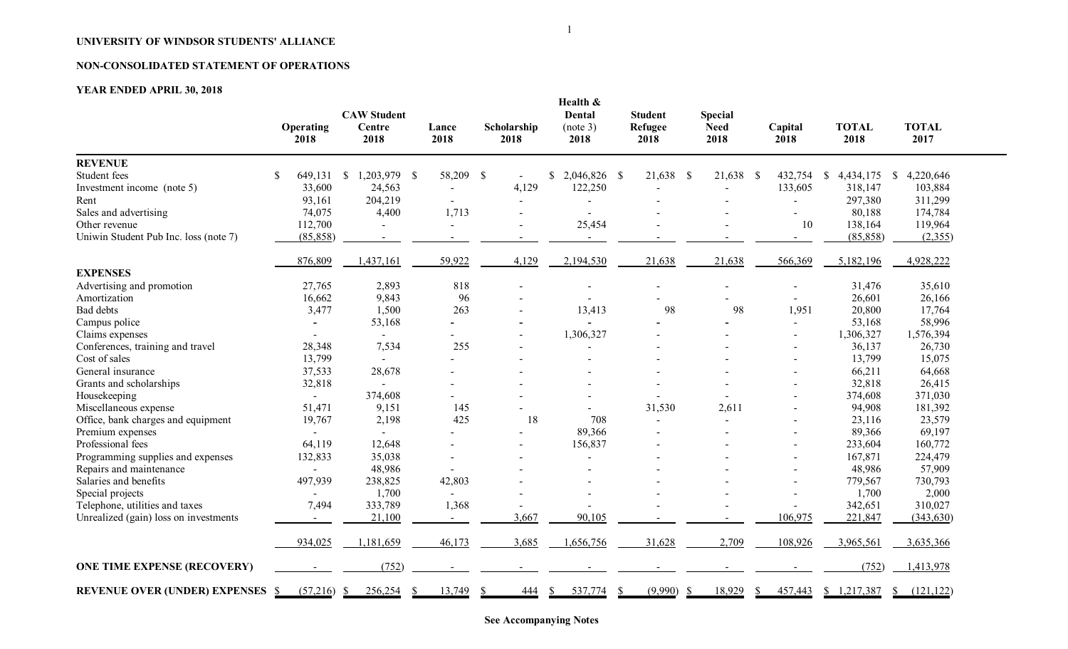# **NON-CONSOLIDATED STATEMENT OF OPERATIONS**

# **YEAR ENDED APRIL 30, 2018**

|                                       | Operating<br>2018        | <b>CAW Student</b><br>Centre<br>2018 | Lance<br>2018            | Scholarship<br>2018 | Health &<br><b>Dental</b><br>(note 3)<br>2018 | <b>Student</b><br>Refugee<br>2018 | <b>Special</b><br><b>Need</b><br>2018 | Capital<br>2018          | <b>TOTAL</b><br>2018      | <b>TOTAL</b><br>2017      |
|---------------------------------------|--------------------------|--------------------------------------|--------------------------|---------------------|-----------------------------------------------|-----------------------------------|---------------------------------------|--------------------------|---------------------------|---------------------------|
| <b>REVENUE</b>                        |                          |                                      |                          |                     |                                               |                                   |                                       |                          |                           |                           |
| Student fees                          | \$<br>649,131            | 1,203,979 \$<br>$\mathbb{S}$         | 58,209                   | $\mathcal{S}$       | $$2,046,826$ \ \$                             | 21,638 \$                         | 21,638<br>$\mathcal{S}$               | 432,754                  | $\mathbb{S}$<br>4,434,175 | 4,220,646<br><sup>S</sup> |
| Investment income (note 5)            | 33,600                   | 24,563                               | $\overline{\phantom{a}}$ | 4,129               | 122,250                                       |                                   |                                       | 133,605                  | 318,147                   | 103,884                   |
| Rent                                  | 93,161                   | 204,219                              | $\sim$                   |                     |                                               |                                   |                                       | $\blacksquare$           | 297,380                   | 311,299                   |
| Sales and advertising                 | 74,075                   | 4,400                                | 1,713                    |                     |                                               |                                   |                                       | $\blacksquare$           | 80,188                    | 174,784                   |
| Other revenue                         | 112,700                  |                                      |                          | $\blacksquare$      | 25,454                                        |                                   |                                       | 10                       | 138,164                   | 119,964                   |
| Uniwin Student Pub Inc. loss (note 7) | (85, 858)                | $\sim$                               | $\sim$                   |                     | $\sim$                                        |                                   |                                       | $\blacksquare$           | (85, 858)                 | (2,355)                   |
|                                       | 876,809                  | 1,437,161                            | 59,922                   | 4,129               | 2,194,530                                     | 21,638                            | 21,638                                | 566,369                  | 5,182,196                 | 4,928,222                 |
| <b>EXPENSES</b>                       |                          |                                      |                          |                     |                                               |                                   |                                       |                          |                           |                           |
| Advertising and promotion             | 27,765                   | 2,893                                | 818                      |                     |                                               |                                   |                                       |                          | 31,476                    | 35,610                    |
| Amortization                          | 16,662                   | 9,843                                | 96                       |                     |                                               |                                   |                                       |                          | 26,601                    | 26,166                    |
| Bad debts                             | 3,477                    | 1,500                                | 263                      |                     | 13,413                                        | 98                                | 98                                    | 1,951                    | 20,800                    | 17,764                    |
| Campus police                         |                          | 53,168                               |                          |                     |                                               |                                   |                                       |                          | 53,168                    | 58,996                    |
| Claims expenses                       |                          |                                      |                          |                     | 1,306,327                                     |                                   |                                       | $\overline{a}$           | 1,306,327                 | 1,576,394                 |
| Conferences, training and travel      | 28,348                   | 7,534                                | 255                      |                     |                                               |                                   |                                       | $\overline{\phantom{a}}$ | 36,137                    | 26,730                    |
| Cost of sales                         | 13,799                   |                                      |                          |                     |                                               |                                   |                                       |                          | 13,799                    | 15,075                    |
| General insurance                     | 37,533                   | 28,678                               |                          |                     |                                               |                                   |                                       |                          | 66,211                    | 64,668                    |
| Grants and scholarships               | 32,818                   |                                      |                          |                     |                                               |                                   |                                       |                          | 32,818                    | 26,415                    |
| Housekeeping                          | $\overline{a}$           | 374,608                              |                          |                     |                                               |                                   |                                       |                          | 374,608                   | 371,030                   |
| Miscellaneous expense                 | 51,471                   | 9,151                                | 145                      |                     |                                               | 31,530                            | 2,611                                 |                          | 94,908                    | 181,392                   |
| Office, bank charges and equipment    | 19,767                   | 2,198                                | 425                      | 18                  | 708                                           |                                   |                                       |                          | 23,116                    | 23,579                    |
| Premium expenses                      |                          |                                      |                          |                     | 89,366                                        |                                   |                                       |                          | 89,366                    | 69,197                    |
| Professional fees                     | 64,119                   | 12,648                               | $\sim$                   |                     | 156,837                                       |                                   |                                       |                          | 233,604                   | 160,772                   |
| Programming supplies and expenses     | 132,833                  | 35,038                               | $\sim$                   |                     |                                               |                                   |                                       |                          | 167,871                   | 224,479                   |
| Repairs and maintenance               |                          | 48,986                               |                          |                     |                                               |                                   |                                       |                          | 48,986                    | 57,909                    |
| Salaries and benefits                 | 497,939                  | 238,825                              | 42,803                   |                     |                                               |                                   |                                       |                          | 779,567                   | 730,793                   |
| Special projects                      |                          | 1,700                                |                          |                     |                                               |                                   |                                       |                          | 1,700                     | 2,000                     |
| Telephone, utilities and taxes        | 7,494                    | 333,789                              | 1,368                    |                     |                                               |                                   |                                       |                          | 342,651                   | 310,027                   |
| Unrealized (gain) loss on investments | $\blacksquare$           | 21,100                               | $\sim$                   | 3,667               | 90,105                                        |                                   |                                       | 106,975                  | 221,847                   | (343, 630)                |
|                                       | 934,025                  | 1,181,659                            | 46,173                   | 3,685               | 1,656,756                                     | 31,628                            | 2,709                                 | 108,926                  | 3,965,561                 | 3,635,366                 |
| <b>ONE TIME EXPENSE (RECOVERY)</b>    |                          | (752)                                | $\sim$                   | $\blacksquare$      |                                               |                                   |                                       |                          | (752)                     | 1,413,978                 |
| <b>REVENUE OVER (UNDER) EXPENSES</b>  | (57,216)<br><sup>S</sup> | 256,254<br>-S                        | 13,749                   | <u>444</u>          | 537,774<br>S.                                 | (9,990)                           | 18,929                                | 457,443                  | \$1,217,387               | (121, 122)<br>S.          |

**See Accompanying Notes**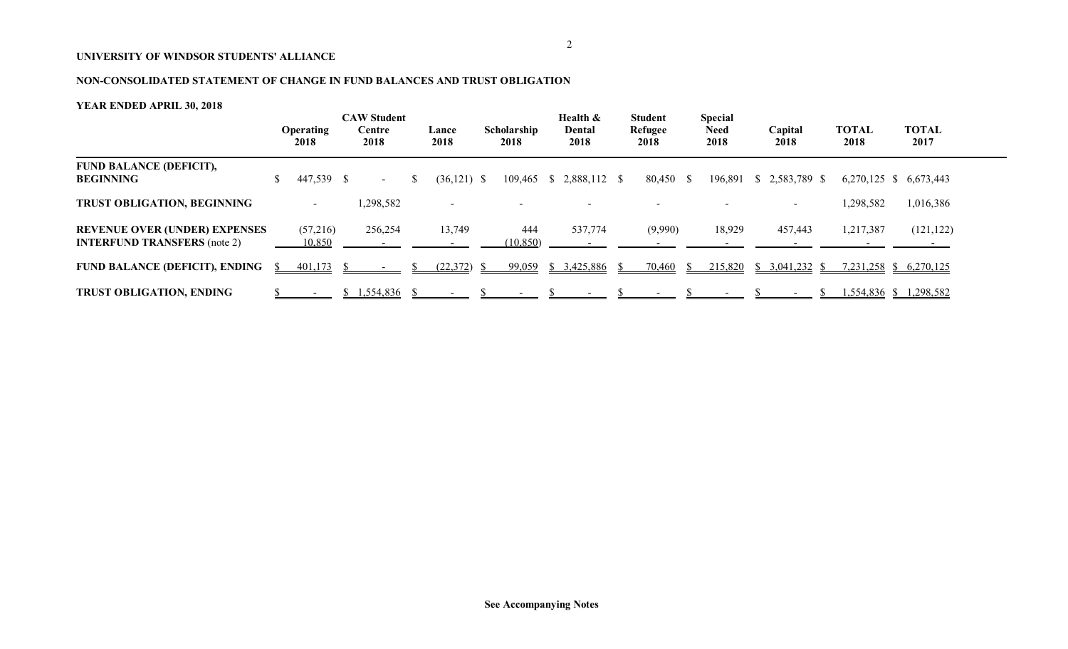# **NON-CONSOLIDATED STATEMENT OF CHANGE IN FUND BALANCES AND TRUST OBLIGATION**

|                                                                             |              | <b>Operating</b><br>2018 | <b>CAW Student</b><br>Centre<br>2018 | Lance<br>2018 | Scholarship<br>2018 | Health &<br>Dental<br>2018 | <b>Student</b><br>Refugee<br>2018 |    | <b>Special</b><br><b>Need</b><br>2018 | Capital<br>2018                | <b>TOTAL</b><br>2018 | <b>TOTAL</b><br>2017   |  |
|-----------------------------------------------------------------------------|--------------|--------------------------|--------------------------------------|---------------|---------------------|----------------------------|-----------------------------------|----|---------------------------------------|--------------------------------|----------------------|------------------------|--|
| <b>FUND BALANCE (DEFICIT),</b><br><b>BEGINNING</b>                          |              | 447,539 \$               | $\sim$                               | $(36,121)$ \$ |                     | 109,465 \$ 2,888,112 \$    | 80,450 \$                         |    |                                       | 196,891 \$ 2,583,789 \$        |                      | 6,270,125 \$ 6,673,443 |  |
| <b>TRUST OBLIGATION, BEGINNING</b>                                          |              | $\overline{\phantom{0}}$ | ,298,582                             |               |                     |                            |                                   |    |                                       |                                | 1,298,582            | 1,016,386              |  |
| <b>REVENUE OVER (UNDER) EXPENSES</b><br><b>INTERFUND TRANSFERS</b> (note 2) |              | (57,216)<br>10,850       | 256,254                              | 13,749        | 444<br>(10, 850)    | 537,774                    | (9,990)                           |    | 18,929                                | 457,443                        | 1,217,387            | (121, 122)             |  |
| <b>FUND BALANCE (DEFICIT), ENDING</b>                                       | <sup>S</sup> | 401,173                  |                                      | (22,372)      | 99,059              | \$3,425,886                | 70,460                            | N. | 215,820                               | $3,041,232$ \$<br><sup>S</sup> |                      | 7,231,258 \$ 6,270,125 |  |
| <b>TRUST OBLIGATION, ENDING</b>                                             |              |                          | 1,554,836                            |               |                     |                            |                                   |    |                                       |                                |                      | 1,554,836 \$ 1,298,582 |  |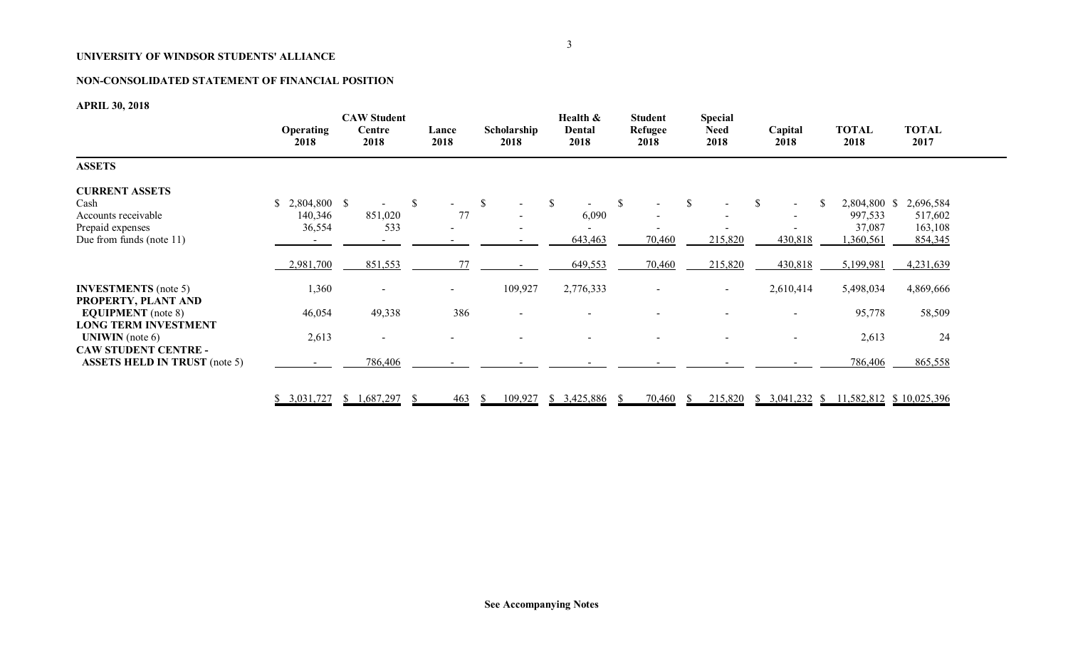# **NON-CONSOLIDATED STATEMENT OF FINANCIAL POSITION**

# **APRIL 30, 2018**

|                                                                                                                | <b>Operating</b><br>2018                             | <b>CAW Student</b><br>Centre<br>2018 | Lance<br>2018                              | Scholarship<br>2018                 | Health &<br>Dental<br>2018                   | <b>Student</b><br>Refugee<br>2018                             | <b>Special</b><br><b>Need</b><br>2018 | Capital<br>2018                                                       | TOTAL<br>2018                                              | <b>TOTAL</b><br>2017                                    |  |
|----------------------------------------------------------------------------------------------------------------|------------------------------------------------------|--------------------------------------|--------------------------------------------|-------------------------------------|----------------------------------------------|---------------------------------------------------------------|---------------------------------------|-----------------------------------------------------------------------|------------------------------------------------------------|---------------------------------------------------------|--|
| <b>ASSETS</b>                                                                                                  |                                                      |                                      |                                            |                                     |                                              |                                                               |                                       |                                                                       |                                                            |                                                         |  |
| <b>CURRENT ASSETS</b><br>Cash<br>Accounts receivable<br>Prepaid expenses<br>Due from funds (note 11)           | 2,804,800 \$<br>\$<br>140,346<br>36,554<br>2,981,700 | 851,020<br>533<br>851,553            | $\mathbb{S}$<br>$\sim$ 10 $\,$<br>77<br>77 | -S<br>$\blacksquare$                | <sup>\$</sup><br>6,090<br>643,463<br>649,553 | <sup>\$</sup><br>$\overline{\phantom{a}}$<br>70,460<br>70,460 | <sup>S</sup><br>215,820<br>215,820    | -S<br><sup>\$</sup><br>$\sim$<br>$\blacksquare$<br>430,818<br>430,818 | 2,804,800 \$<br>997,533<br>37,087<br>,360,561<br>5,199,981 | 2,696,584<br>517,602<br>163,108<br>854,345<br>4,231,639 |  |
| <b>INVESTMENTS</b> (note 5)<br>PROPERTY, PLANT AND<br><b>EQUIPMENT</b> (note 8)<br><b>LONG TERM INVESTMENT</b> | 1,360<br>46,054                                      | $\overline{\phantom{a}}$<br>49,338   | $\sim$<br>386                              | 109,927<br>$\overline{\phantom{a}}$ | 2,776,333                                    |                                                               | $\sim$                                | 2,610,414<br>$\blacksquare$                                           | 5,498,034<br>95,778                                        | 4,869,666<br>58,509                                     |  |
| <b>UNIWIN</b> (note $6$ )<br><b>CAW STUDENT CENTRE -</b><br><b>ASSETS HELD IN TRUST (note 5)</b>               | 2,613                                                | 786,406                              |                                            |                                     |                                              |                                                               |                                       | $\overline{\phantom{a}}$                                              | 2,613<br>786,406                                           | 24<br>865,558                                           |  |
|                                                                                                                | \$3,031,727                                          | 1,687,297<br>$\sqrt{3}$              | 463                                        | 109,927<br><sup>S</sup>             | \$3,425,886                                  | 70,460<br>-S                                                  | -SS                                   | 215,820 \$ 3,041,232 \$ 11,582,812 \$ 10,025,396                      |                                                            |                                                         |  |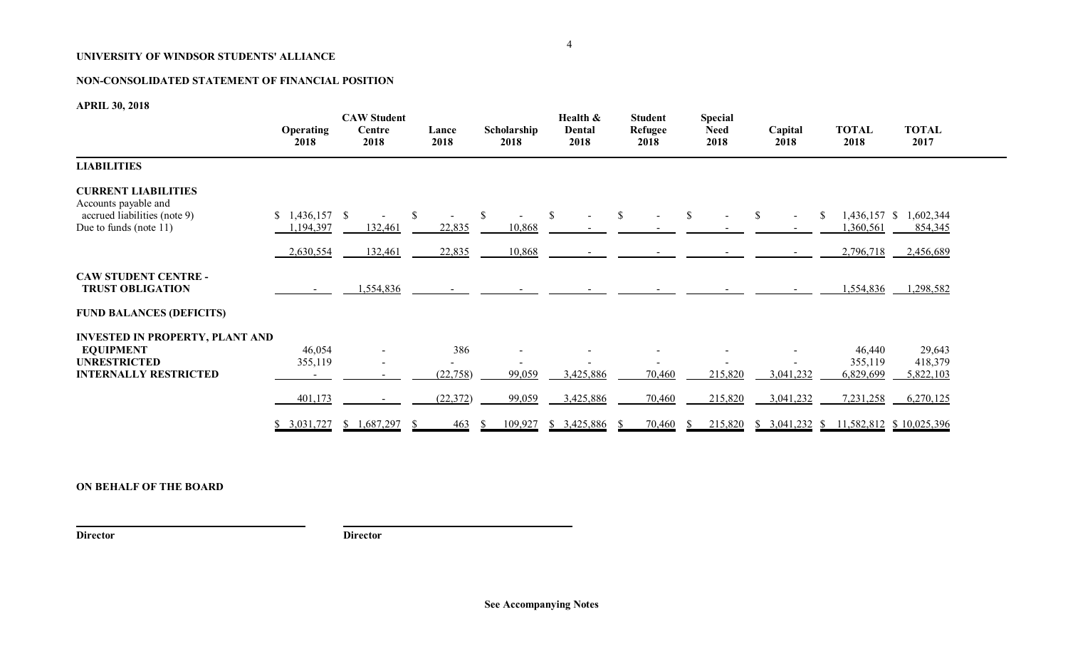# **NON-CONSOLIDATED STATEMENT OF FINANCIAL POSITION**

**APRIL 30, 2018**

|                                                                                                                   | <b>Operating</b><br>2018                  | <b>CAW Student</b><br>Centre<br>2018 | Lance<br>2018                 | Scholarship<br>2018              | Health &<br>Dental<br>2018 | <b>Student</b><br>Refugee<br>2018 | <b>Special</b><br><b>Need</b><br>2018 | Capital<br>2018              | <b>TOTAL</b><br>2018                        | <b>TOTAL</b><br>2017                        |  |
|-------------------------------------------------------------------------------------------------------------------|-------------------------------------------|--------------------------------------|-------------------------------|----------------------------------|----------------------------|-----------------------------------|---------------------------------------|------------------------------|---------------------------------------------|---------------------------------------------|--|
| <b>LIABILITIES</b>                                                                                                |                                           |                                      |                               |                                  |                            |                                   |                                       |                              |                                             |                                             |  |
| <b>CURRENT LIABILITIES</b><br>Accounts payable and<br>accrued liabilities (note 9)<br>Due to funds (note 11)      | $$1,436,157$ \;<br>1,194,397<br>2,630,554 | 132,461<br>132,461                   | 22,835<br>22,835              | $\mathbb{S}$<br>10,868<br>10,868 | $\mathbb{S}$               | $\mathbb{S}$                      | -S                                    | $\mathbb{S}$<br>-S<br>$\sim$ | $1,436,157$ \$<br>,360,561<br>2,796,718     | 1,602,344<br>854,345<br>2,456,689           |  |
| <b>CAW STUDENT CENTRE -</b><br><b>TRUST OBLIGATION</b><br><b>FUND BALANCES (DEFICITS)</b>                         |                                           | 1,554,836                            |                               |                                  |                            |                                   |                                       |                              | 1,554,836                                   | 1,298,582                                   |  |
| <b>INVESTED IN PROPERTY, PLANT AND</b><br><b>EQUIPMENT</b><br><b>UNRESTRICTED</b><br><b>INTERNALLY RESTRICTED</b> | 46,054<br>355,119<br>401,173              |                                      | 386<br>(22, 758)<br>(22, 372) | 99,059<br>99,059                 | 3,425,886<br>3,425,886     | 70,460<br>70,460                  | 215,820<br>215,820                    | 3,041,232<br>3,041,232       | 46,440<br>355,119<br>6,829,699<br>7,231,258 | 29,643<br>418,379<br>5,822,103<br>6,270,125 |  |
|                                                                                                                   | \$3,031,727                               | 1,687,297<br><sup>S</sup>            | 463                           | 109,927<br><sup>S</sup>          | \$3,425,886                | 70,460                            | 215,820                               | \$3,041,232<br><sup>S</sup>  |                                             | 11,582,812 \$10,025,396                     |  |

# **ON BEHALF OF THE BOARD**

**Director Director**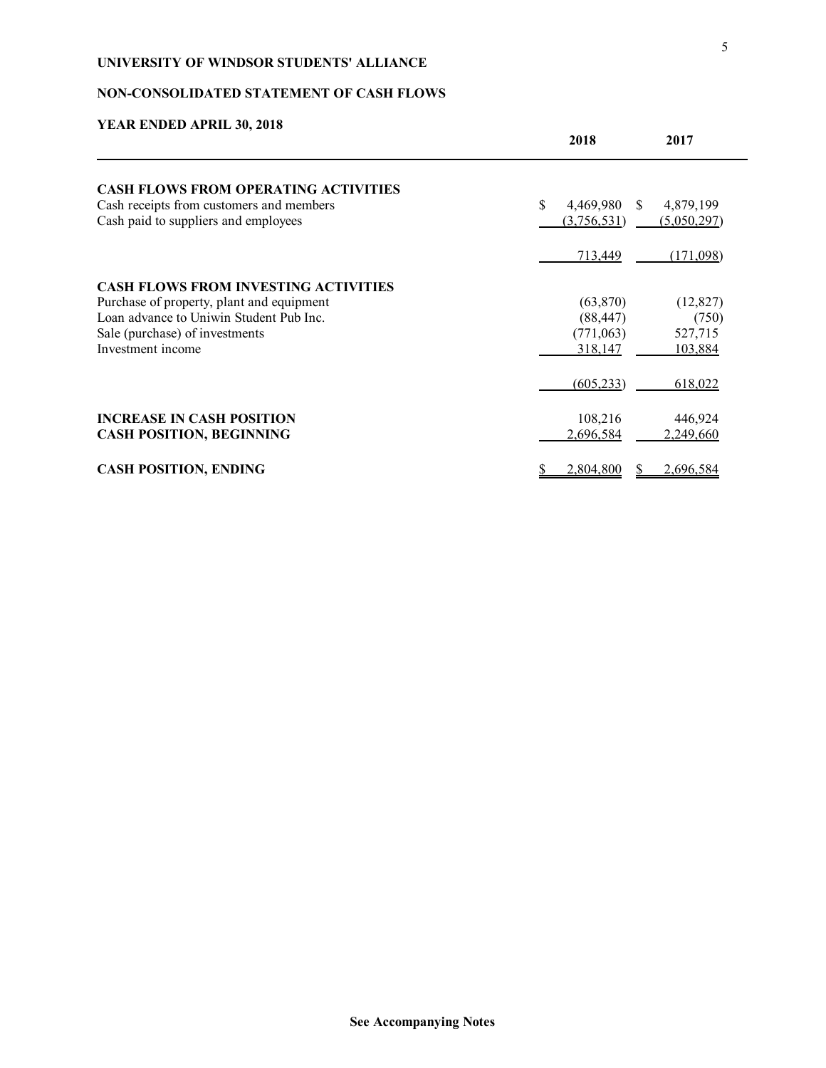# **NON-CONSOLIDATED STATEMENT OF CASH FLOWS**

| TEAN ENDED AT NIE 50, 2010                  | 2018                | 2017        |
|---------------------------------------------|---------------------|-------------|
| <b>CASH FLOWS FROM OPERATING ACTIVITIES</b> |                     |             |
| Cash receipts from customers and members    | \$<br>4,469,980 \$  | 4,879,199   |
| Cash paid to suppliers and employees        | (3,756,531)         | (5,050,297) |
|                                             | 713,449             | (171,098)   |
| <b>CASH FLOWS FROM INVESTING ACTIVITIES</b> |                     |             |
| Purchase of property, plant and equipment   | (63, 870)           | (12, 827)   |
| Loan advance to Uniwin Student Pub Inc.     | (88, 447)           | (750)       |
| Sale (purchase) of investments              | (771,063)           | 527,715     |
| Investment income                           | 318,147             | 103,884     |
|                                             | (605, 233)          | 618,022     |
| <b>INCREASE IN CASH POSITION</b>            | 108,216             | 446,924     |
| <b>CASH POSITION, BEGINNING</b>             | 2.696.584           | 2,249,660   |
| <b>CASH POSITION, ENDING</b>                | 2,804,800<br>S<br>S | 2,696,584   |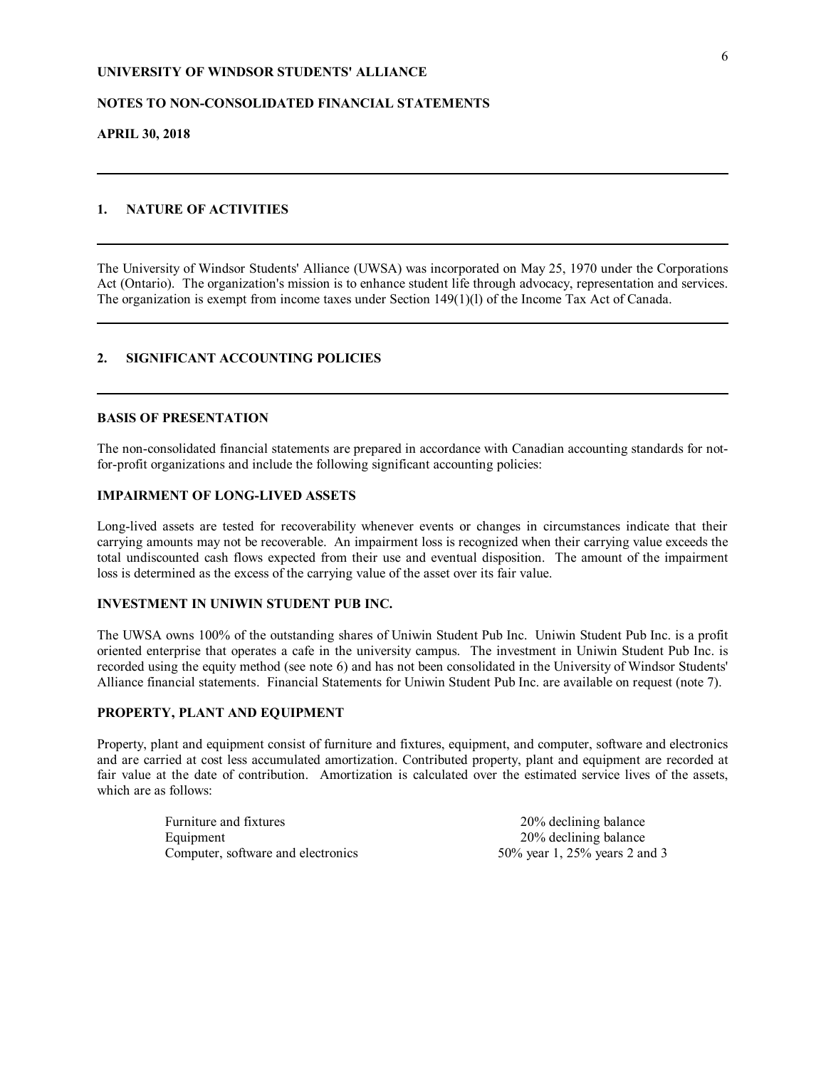## **NOTES TO NON-CONSOLIDATED FINANCIAL STATEMENTS**

### **APRIL 30, 2018**

## **1. NATURE OF ACTIVITIES**

The University of Windsor Students' Alliance (UWSA) was incorporated on May 25, 1970 under the Corporations Act (Ontario). The organization's mission is to enhance student life through advocacy, representation and services. The organization is exempt from income taxes under Section 149(1)(l) of the Income Tax Act of Canada.

## **2. SIGNIFICANT ACCOUNTING POLICIES**

## **BASIS OF PRESENTATION**

The non-consolidated financial statements are prepared in accordance with Canadian accounting standards for notfor-profit organizations and include the following significant accounting policies:

#### **IMPAIRMENT OF LONG-LIVED ASSETS**

Long-lived assets are tested for recoverability whenever events or changes in circumstances indicate that their carrying amounts may not be recoverable. An impairment loss is recognized when their carrying value exceeds the total undiscounted cash flows expected from their use and eventual disposition. The amount of the impairment loss is determined as the excess of the carrying value of the asset over its fair value.

## **INVESTMENT IN UNIWIN STUDENT PUB INC.**

The UWSA owns 100% of the outstanding shares of Uniwin Student Pub Inc. Uniwin Student Pub Inc. is a profit oriented enterprise that operates a cafe in the university campus. The investment in Uniwin Student Pub Inc. is recorded using the equity method (see note 6) and has not been consolidated in the University of Windsor Students' Alliance financial statements. Financial Statements for Uniwin Student Pub Inc. are available on request (note 7).

## **PROPERTY, PLANT AND EQUIPMENT**

Property, plant and equipment consist of furniture and fixtures, equipment, and computer, software and electronics and are carried at cost less accumulated amortization. Contributed property, plant and equipment are recorded at fair value at the date of contribution. Amortization is calculated over the estimated service lives of the assets, which are as follows:

> Furniture and fixtures 20% declining balance Equipment 20% declining balance Computer, software and electronics 50% year 1, 25% years 2 and 3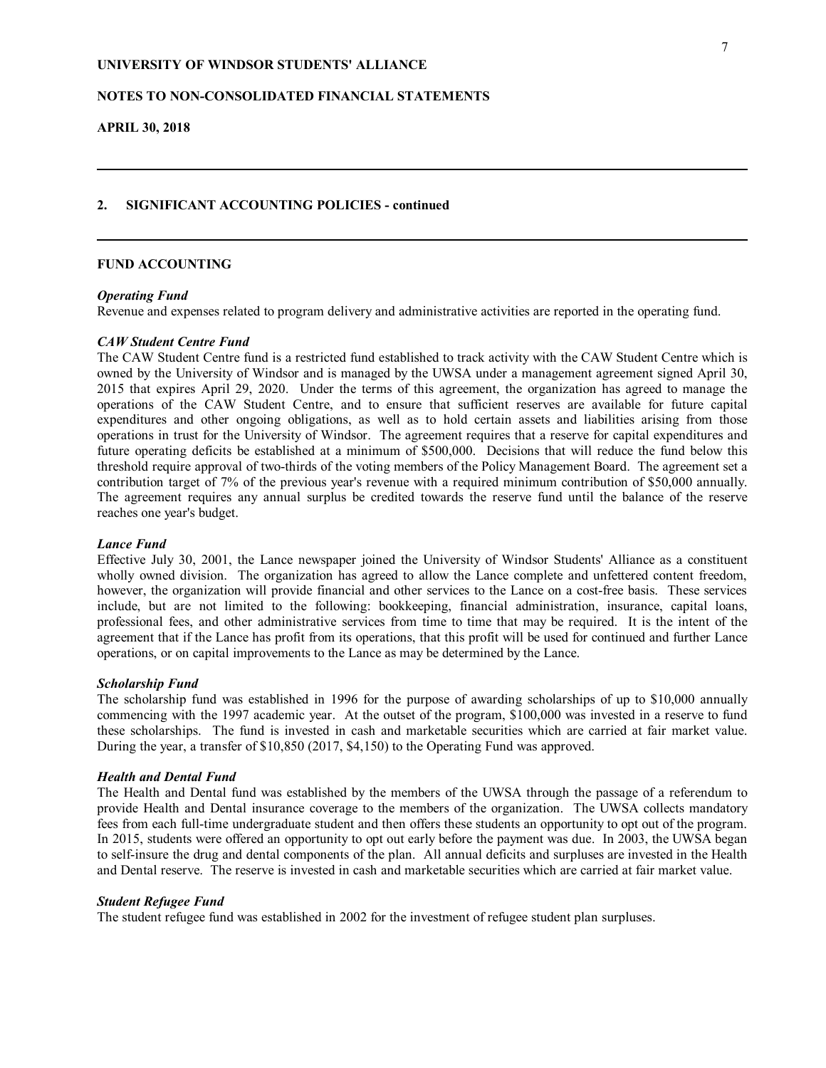## **NOTES TO NON-CONSOLIDATED FINANCIAL STATEMENTS**

**APRIL 30, 2018**

### **2. SIGNIFICANT ACCOUNTING POLICIES - continued**

### **FUND ACCOUNTING**

## *Operating Fund*

Revenue and expenses related to program delivery and administrative activities are reported in the operating fund.

### *CAW Student Centre Fund*

The CAW Student Centre fund is a restricted fund established to track activity with the CAW Student Centre which is owned by the University of Windsor and is managed by the UWSA under a management agreement signed April 30, 2015 that expires April 29, 2020. Under the terms of this agreement, the organization has agreed to manage the operations of the CAW Student Centre, and to ensure that sufficient reserves are available for future capital expenditures and other ongoing obligations, as well as to hold certain assets and liabilities arising from those operations in trust for the University of Windsor. The agreement requires that a reserve for capital expenditures and future operating deficits be established at a minimum of \$500,000. Decisions that will reduce the fund below this threshold require approval of two-thirds of the voting members of the Policy Management Board. The agreement set a contribution target of 7% of the previous year's revenue with a required minimum contribution of \$50,000 annually. The agreement requires any annual surplus be credited towards the reserve fund until the balance of the reserve reaches one year's budget.

#### *Lance Fund*

Effective July 30, 2001, the Lance newspaper joined the University of Windsor Students' Alliance as a constituent wholly owned division. The organization has agreed to allow the Lance complete and unfettered content freedom, however, the organization will provide financial and other services to the Lance on a cost-free basis. These services include, but are not limited to the following: bookkeeping, financial administration, insurance, capital loans, professional fees, and other administrative services from time to time that may be required. It is the intent of the agreement that if the Lance has profit from its operations, that this profit will be used for continued and further Lance operations, or on capital improvements to the Lance as may be determined by the Lance.

### *Scholarship Fund*

The scholarship fund was established in 1996 for the purpose of awarding scholarships of up to \$10,000 annually commencing with the 1997 academic year. At the outset of the program, \$100,000 was invested in a reserve to fund these scholarships. The fund is invested in cash and marketable securities which are carried at fair market value. During the year, a transfer of \$10,850 (2017, \$4,150) to the Operating Fund was approved.

#### *Health and Dental Fund*

The Health and Dental fund was established by the members of the UWSA through the passage of a referendum to provide Health and Dental insurance coverage to the members of the organization. The UWSA collects mandatory fees from each full-time undergraduate student and then offers these students an opportunity to opt out of the program. In 2015, students were offered an opportunity to opt out early before the payment was due. In 2003, the UWSA began to self-insure the drug and dental components of the plan. All annual deficits and surpluses are invested in the Health and Dental reserve. The reserve is invested in cash and marketable securities which are carried at fair market value.

#### *Student Refugee Fund*

The student refugee fund was established in 2002 for the investment of refugee student plan surpluses.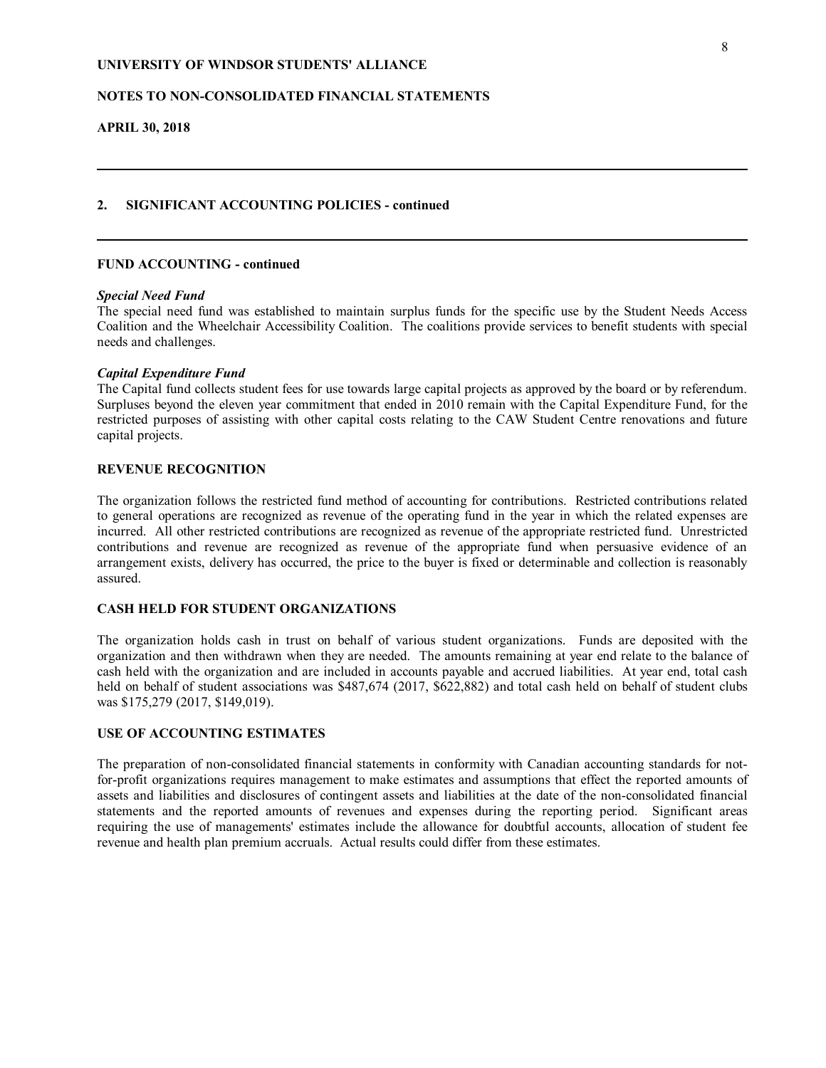## **NOTES TO NON-CONSOLIDATED FINANCIAL STATEMENTS**

**APRIL 30, 2018**

# **2. SIGNIFICANT ACCOUNTING POLICIES - continued**

## **FUND ACCOUNTING - continued**

### *Special Need Fund*

The special need fund was established to maintain surplus funds for the specific use by the Student Needs Access Coalition and the Wheelchair Accessibility Coalition. The coalitions provide services to benefit students with special needs and challenges.

### *Capital Expenditure Fund*

The Capital fund collects student fees for use towards large capital projects as approved by the board or by referendum. Surpluses beyond the eleven year commitment that ended in 2010 remain with the Capital Expenditure Fund, for the restricted purposes of assisting with other capital costs relating to the CAW Student Centre renovations and future capital projects.

## **REVENUE RECOGNITION**

The organization follows the restricted fund method of accounting for contributions. Restricted contributions related to general operations are recognized as revenue of the operating fund in the year in which the related expenses are incurred. All other restricted contributions are recognized as revenue of the appropriate restricted fund. Unrestricted contributions and revenue are recognized as revenue of the appropriate fund when persuasive evidence of an arrangement exists, delivery has occurred, the price to the buyer is fixed or determinable and collection is reasonably assured.

## **CASH HELD FOR STUDENT ORGANIZATIONS**

The organization holds cash in trust on behalf of various student organizations. Funds are deposited with the organization and then withdrawn when they are needed. The amounts remaining at year end relate to the balance of cash held with the organization and are included in accounts payable and accrued liabilities. At year end, total cash held on behalf of student associations was \$487,674 (2017, \$622,882) and total cash held on behalf of student clubs was \$175,279 (2017, \$149,019).

## **USE OF ACCOUNTING ESTIMATES**

The preparation of non-consolidated financial statements in conformity with Canadian accounting standards for notfor-profit organizations requires management to make estimates and assumptions that effect the reported amounts of assets and liabilities and disclosures of contingent assets and liabilities at the date of the non-consolidated financial statements and the reported amounts of revenues and expenses during the reporting period. Significant areas requiring the use of managements' estimates include the allowance for doubtful accounts, allocation of student fee revenue and health plan premium accruals. Actual results could differ from these estimates.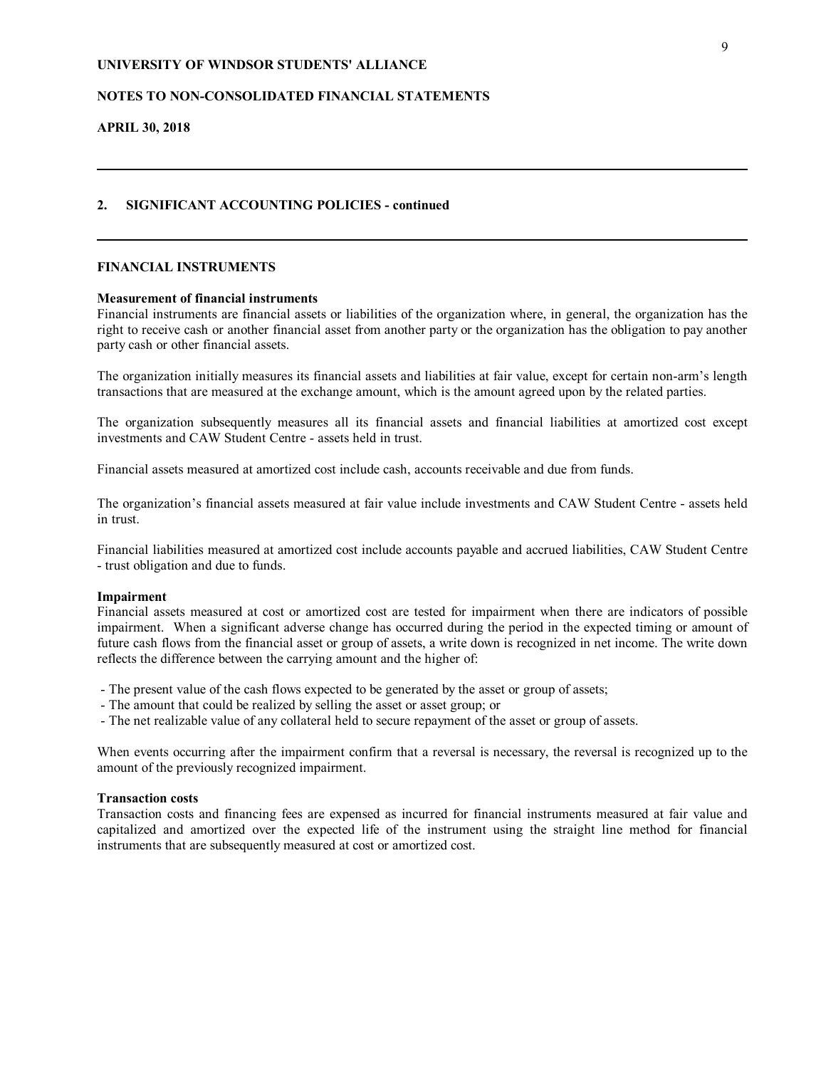## **NOTES TO NON-CONSOLIDATED FINANCIAL STATEMENTS**

**APRIL 30, 2018**

## **2. SIGNIFICANT ACCOUNTING POLICIES - continued**

## **FINANCIAL INSTRUMENTS**

### **Measurement of financial instruments**

Financial instruments are financial assets or liabilities of the organization where, in general, the organization has the right to receive cash or another financial asset from another party or the organization has the obligation to pay another party cash or other financial assets.

The organization initially measures its financial assets and liabilities at fair value, except for certain non-arm's length transactions that are measured at the exchange amount, which is the amount agreed upon by the related parties.

The organization subsequently measures all its financial assets and financial liabilities at amortized cost except investments and CAW Student Centre - assets held in trust.

Financial assets measured at amortized cost include cash, accounts receivable and due from funds.

The organization's financial assets measured at fair value include investments and CAW Student Centre - assets held in trust.

Financial liabilities measured at amortized cost include accounts payable and accrued liabilities, CAW Student Centre - trust obligation and due to funds.

#### **Impairment**

Financial assets measured at cost or amortized cost are tested for impairment when there are indicators of possible impairment. When a significant adverse change has occurred during the period in the expected timing or amount of future cash flows from the financial asset or group of assets, a write down is recognized in net income. The write down reflects the difference between the carrying amount and the higher of:

- The present value of the cash flows expected to be generated by the asset or group of assets;

- The amount that could be realized by selling the asset or asset group; or
- The net realizable value of any collateral held to secure repayment of the asset or group of assets.

When events occurring after the impairment confirm that a reversal is necessary, the reversal is recognized up to the amount of the previously recognized impairment.

#### **Transaction costs**

Transaction costs and financing fees are expensed as incurred for financial instruments measured at fair value and capitalized and amortized over the expected life of the instrument using the straight line method for financial instruments that are subsequently measured at cost or amortized cost.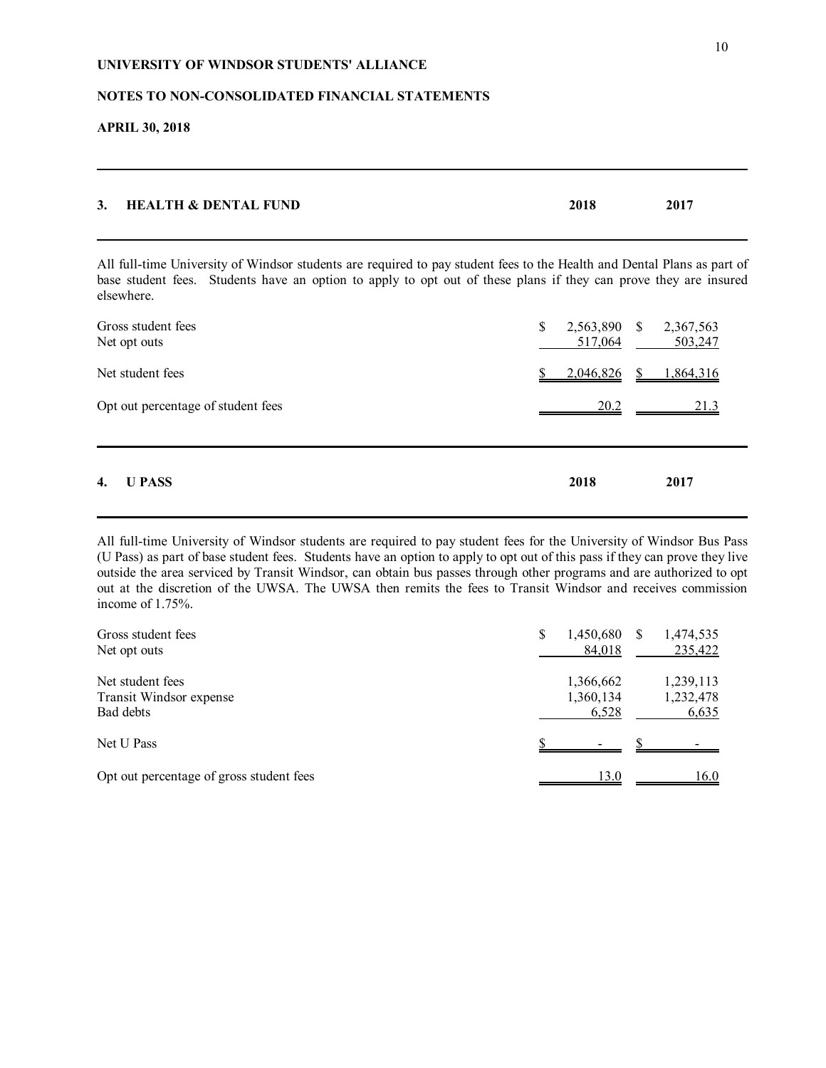## **NOTES TO NON-CONSOLIDATED FINANCIAL STATEMENTS**

**APRIL 30, 2018**

| 3. HEALTH & DENTAL FUND | 2018 | 2017 |
|-------------------------|------|------|
|                         |      |      |

All full-time University of Windsor students are required to pay student fees to the Health and Dental Plans as part of base student fees. Students have an option to apply to opt out of these plans if they can prove they are insured elsewhere.

| $\overline{4}$ .<br><b>U PASS</b>  | 2018          | 2017                              |
|------------------------------------|---------------|-----------------------------------|
| Opt out percentage of student fees | 20.2          | 21.3                              |
| Net student fees                   | 2,046,826     | \$1,864,316                       |
| Gross student fees<br>Net opt outs | \$<br>517,064 | 2,563,890 \$ 2,367,563<br>503,247 |

All full-time University of Windsor students are required to pay student fees for the University of Windsor Bus Pass (U Pass) as part of base student fees. Students have an option to apply to opt out of this pass if they can prove they live outside the area serviced by Transit Windsor, can obtain bus passes through other programs and are authorized to opt out at the discretion of the UWSA. The UWSA then remits the fees to Transit Windsor and receives commission income of 1.75%.

| Gross student fees                       | \$<br>1,450,680 | 1,474,535 |
|------------------------------------------|-----------------|-----------|
| Net opt outs                             | 84,018          | 235,422   |
| Net student fees                         | 1,366,662       | 1,239,113 |
| Transit Windsor expense                  | 1,360,134       | 1,232,478 |
| Bad debts                                | 6,528           | 6,635     |
| Net U Pass                               |                 |           |
| Opt out percentage of gross student fees | 130             | 16.0      |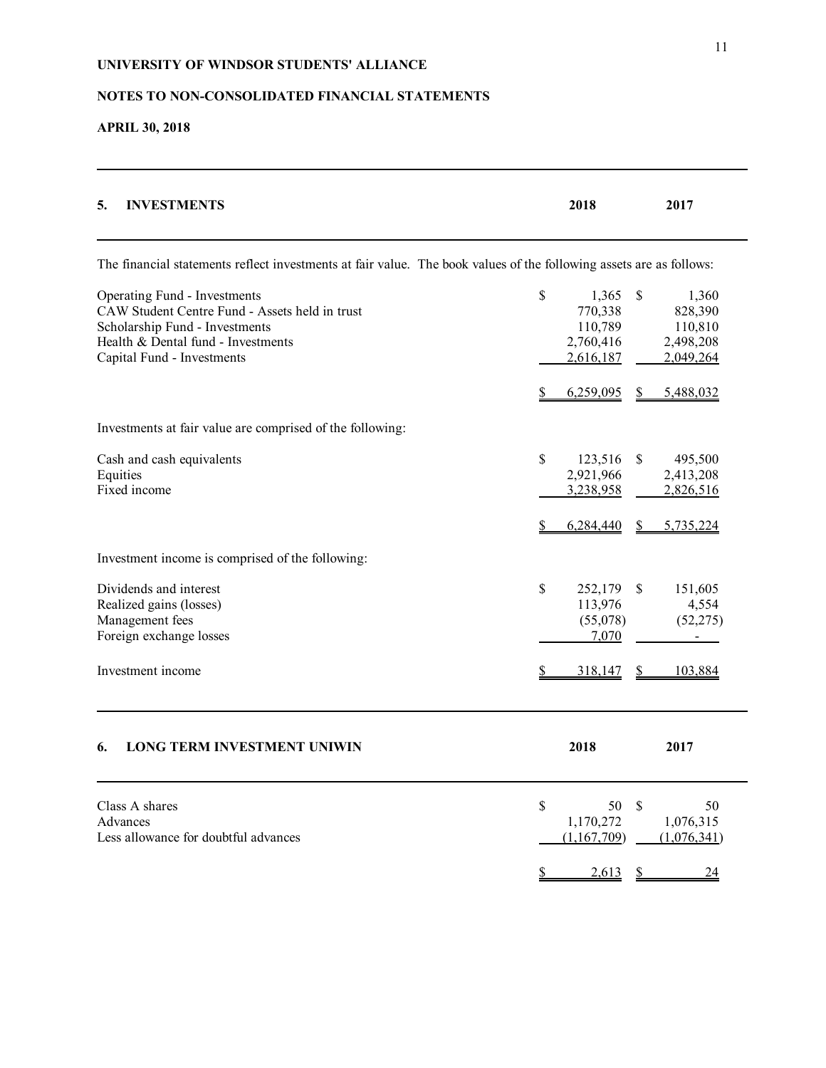# **NOTES TO NON-CONSOLIDATED FINANCIAL STATEMENTS**

**APRIL 30, 2018**

| <b>INVESTMENTS</b><br>5.                                                                                                                                                             | 2018                                                        | 2017                                                            |
|--------------------------------------------------------------------------------------------------------------------------------------------------------------------------------------|-------------------------------------------------------------|-----------------------------------------------------------------|
| The financial statements reflect investments at fair value. The book values of the following assets are as follows:                                                                  |                                                             |                                                                 |
| Operating Fund - Investments<br>CAW Student Centre Fund - Assets held in trust<br>Scholarship Fund - Investments<br>Health & Dental fund - Investments<br>Capital Fund - Investments | \$<br>1,365<br>770,338<br>110,789<br>2,760,416<br>2,616,187 | \$<br>1,360<br>828,390<br>110,810<br>2,498,208<br>2,049,264     |
|                                                                                                                                                                                      | 6,259,095<br>S                                              | 5,488,032<br>\$                                                 |
| Investments at fair value are comprised of the following:                                                                                                                            |                                                             |                                                                 |
| Cash and cash equivalents<br>Equities<br>Fixed income                                                                                                                                | \$<br>123,516<br>2,921,966<br>3,238,958                     | \$<br>495,500<br>2,413,208<br>2,826,516                         |
| Investment income is comprised of the following:                                                                                                                                     | 6,284,440                                                   | 5,735,224<br>S.                                                 |
| Dividends and interest<br>Realized gains (losses)<br>Management fees<br>Foreign exchange losses<br>Investment income                                                                 | \$<br>252,179<br>113,976<br>(55,078)<br>7,070<br>318,147    | <sup>\$</sup><br>151,605<br>4,554<br>(52, 275)<br>103,884<br>S. |
|                                                                                                                                                                                      |                                                             |                                                                 |
| <b>LONG TERM INVESTMENT UNIWIN</b><br>6.                                                                                                                                             | 2018                                                        | 2017                                                            |
| Class A shares<br>Advances<br>Less allowance for doubtful advances                                                                                                                   | \$<br>50<br>1,170,272<br>(1,167,709)                        | \$.<br>50<br>1,076,315<br>(1,076,341)                           |
|                                                                                                                                                                                      | 2,613                                                       | 24                                                              |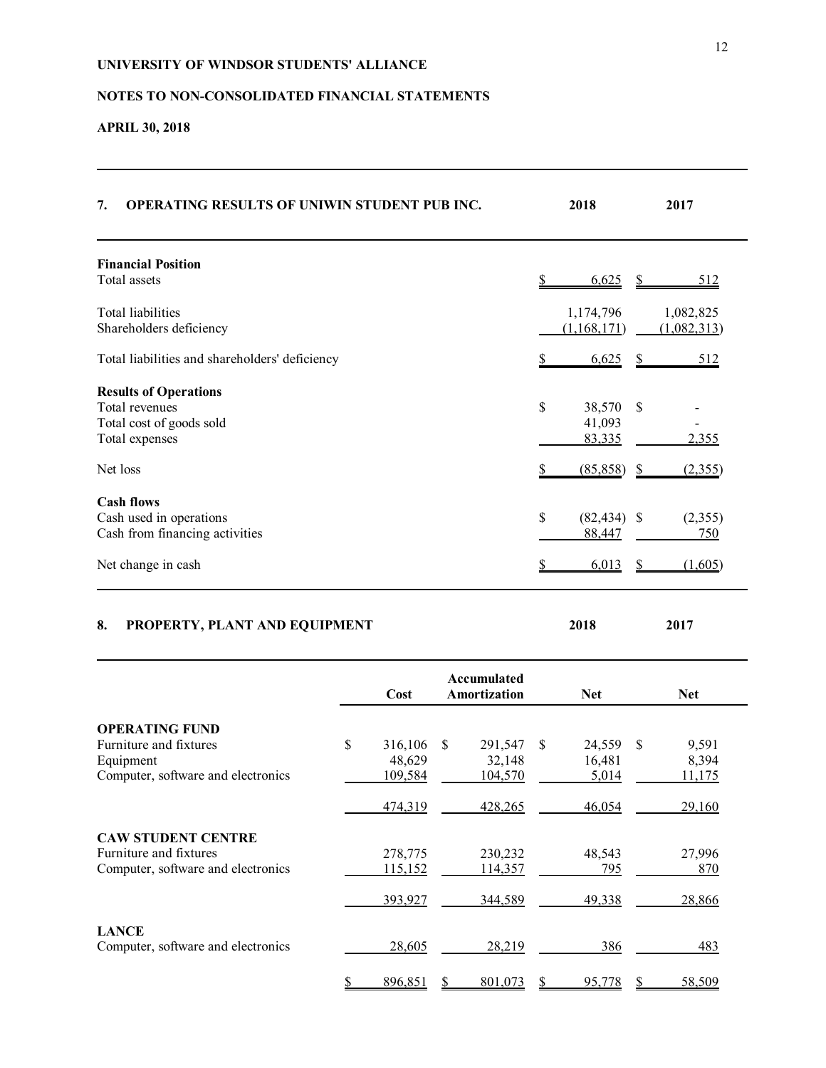# **NOTES TO NON-CONSOLIDATED FINANCIAL STATEMENTS**

# **APRIL 30, 2018**

| 7.<br><b>OPERATING RESULTS OF UNIWIN STUDENT PUB INC.</b>                                          |                                    | 2018 | 2017                               |                                  |    |                          |
|----------------------------------------------------------------------------------------------------|------------------------------------|------|------------------------------------|----------------------------------|----|--------------------------|
| <b>Financial Position</b><br>Total assets                                                          |                                    |      |                                    | 6,625                            | S. | 512                      |
| Total liabilities<br>Shareholders deficiency                                                       |                                    |      |                                    | 1,174,796<br>(1,168,171)         |    | 1,082,825<br>(1,082,313) |
| Total liabilities and shareholders' deficiency                                                     |                                    |      |                                    | 6,625                            | \$ | <u>512</u>               |
| <b>Results of Operations</b><br>Total revenues<br>Total cost of goods sold<br>Total expenses       |                                    |      |                                    | \$<br>38,570<br>41,093<br>83,335 | \$ | 2,355                    |
| Net loss                                                                                           |                                    |      |                                    | (85, 858)                        | \$ | (2,355)                  |
| <b>Cash flows</b><br>Cash used in operations<br>Cash from financing activities                     |                                    |      |                                    | \$<br>$(82, 434)$ \$<br>88,447   |    | (2,355)<br>750           |
| Net change in cash                                                                                 |                                    |      |                                    | 6,013                            | S. | (1,605)                  |
| 8.<br>PROPERTY, PLANT AND EQUIPMENT                                                                |                                    |      |                                    | 2018                             |    | 2017                     |
|                                                                                                    | Cost                               |      | Accumulated<br><b>Amortization</b> | <b>Net</b>                       |    | <b>Net</b>               |
| <b>OPERATING FUND</b><br>Furniture and fixtures<br>Equipment<br>Computer, software and electronics | \$<br>316,106<br>48,629<br>109,584 | \$   | 291,547<br>32,148<br>104,570       | \$<br>24,559<br>16,481<br>5,014  | \$ | 9,591<br>8,394<br>11,175 |
|                                                                                                    | 474,319                            |      | 428,265                            | 46,054                           |    | 29,160                   |
| <b>CAW STUDENT CENTRE</b><br>Furniture and fixtures<br>Computer, software and electronics          | 278,775<br>115,152                 |      | 230,232<br>114,357                 | 48,543<br>795                    |    | 27,996<br>870            |

|                                                    | 393.927 | 344,589 | 49.338 | 28,866 |
|----------------------------------------------------|---------|---------|--------|--------|
| <b>LANCE</b><br>Computer, software and electronics | 28,605  | 28.219  | 386    | 483    |
|                                                    | 896,851 | 801,073 | 95,778 | 58,509 |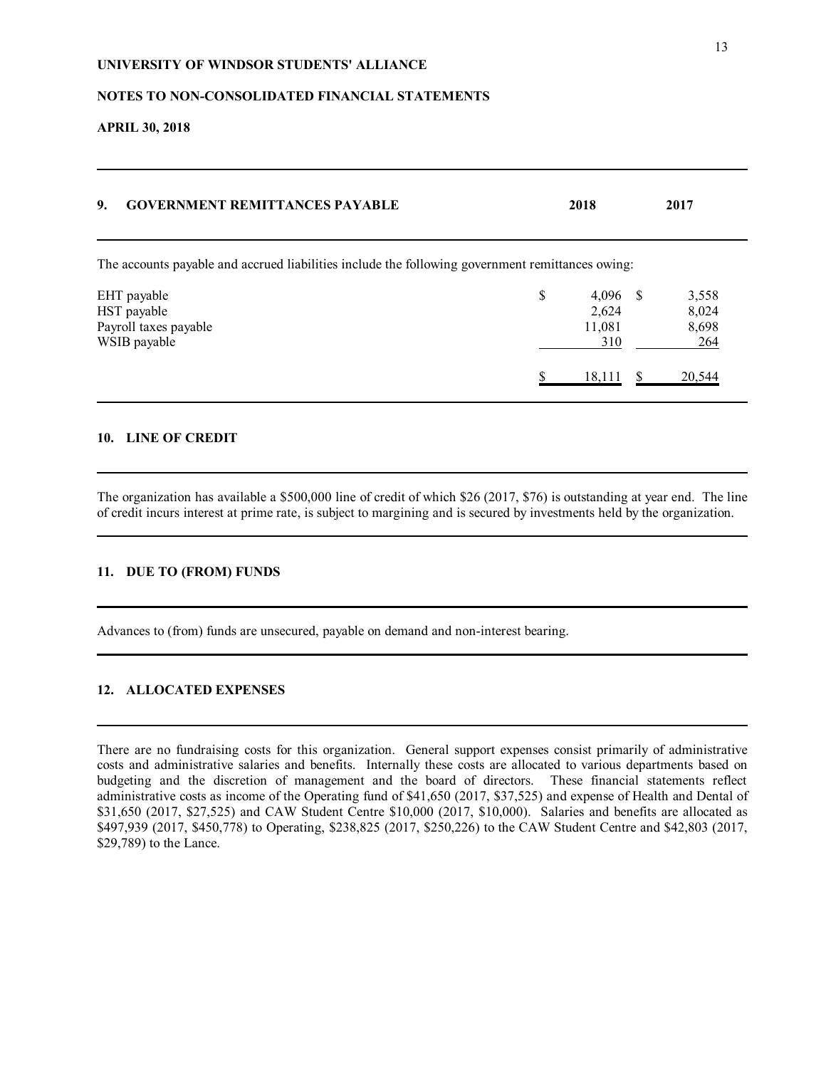## **NOTES TO NON-CONSOLIDATED FINANCIAL STATEMENTS**

**APRIL 30, 2018**

| 9.<br><b>GOVERNMENT REMITTANCES PAYABLE</b>                                                      | 2018                                       | 2017                           |
|--------------------------------------------------------------------------------------------------|--------------------------------------------|--------------------------------|
| The accounts payable and accrued liabilities include the following government remittances owing: |                                            |                                |
| EHT payable<br>HST payable<br>Payroll taxes payable<br>WSIB payable                              | \$<br>$4,096$ \$<br>2,624<br>11,081<br>310 | 3,558<br>8,024<br>8,698<br>264 |
|                                                                                                  | 18,111                                     | 20.544                         |

## **10. LINE OF CREDIT**

The organization has available a \$500,000 line of credit of which \$26 (2017, \$76) is outstanding at year end. The line of credit incurs interest at prime rate, is subject to margining and is secured by investments held by the organization.

# **11. DUE TO (FROM) FUNDS**

Advances to (from) funds are unsecured, payable on demand and non-interest bearing.

## **12. ALLOCATED EXPENSES**

There are no fundraising costs for this organization. General support expenses consist primarily of administrative costs and administrative salaries and benefits. Internally these costs are allocated to various departments based on budgeting and the discretion of management and the board of directors. These financial statements reflect administrative costs as income of the Operating fund of \$41,650 (2017, \$37,525) and expense of Health and Dental of \$31,650 (2017, \$27,525) and CAW Student Centre \$10,000 (2017, \$10,000). Salaries and benefits are allocated as \$497,939 (2017, \$450,778) to Operating, \$238,825 (2017, \$250,226) to the CAW Student Centre and \$42,803 (2017, \$29,789) to the Lance.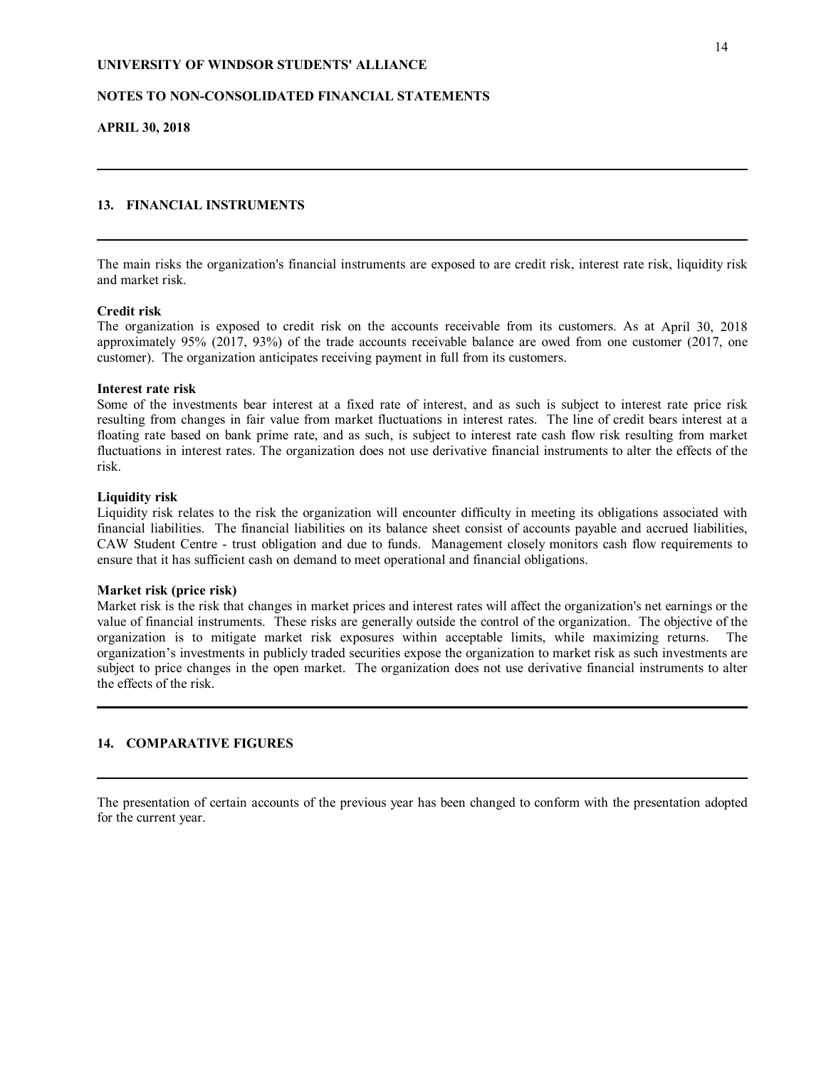## **NOTES TO NON-CONSOLIDATED FINANCIAL STATEMENTS**

**APRIL 30, 2018**

# **13. FINANCIAL INSTRUMENTS**

The main risks the organization's financial instruments are exposed to are credit risk, interest rate risk, liquidity risk and market risk.

## **Credit risk**

The organization is exposed to credit risk on the accounts receivable from its customers. As at April 30, 2018 approximately 95% (2017, 93%) of the trade accounts receivable balance are owed from one customer (2017, one customer). The organization anticipates receiving payment in full from its customers.

### **Interest rate risk**

Some of the investments bear interest at a fixed rate of interest, and as such is subject to interest rate price risk resulting from changes in fair value from market fluctuations in interest rates. The line of credit bears interest at a floating rate based on bank prime rate, and as such, is subject to interest rate cash flow risk resulting from market fluctuations in interest rates. The organization does not use derivative financial instruments to alter the effects of the risk.

### **Liquidity risk**

Liquidity risk relates to the risk the organization will encounter difficulty in meeting its obligations associated with financial liabilities. The financial liabilities on its balance sheet consist of accounts payable and accrued liabilities, CAW Student Centre - trust obligation and due to funds. Management closely monitors cash flow requirements to ensure that it has sufficient cash on demand to meet operational and financial obligations.

#### **Market risk (price risk)**

Market risk is the risk that changes in market prices and interest rates will affect the organization's net earnings or the value of financial instruments. These risks are generally outside the control of the organization. The objective of the organization is to mitigate market risk exposures within acceptable limits, while maximizing returns. The organization's investments in publicly traded securities expose the organization to market risk as such investments are subject to price changes in the open market. The organization does not use derivative financial instruments to alter the effects of the risk.

## **14. COMPARATIVE FIGURES**

The presentation of certain accounts of the previous year has been changed to conform with the presentation adopted for the current year.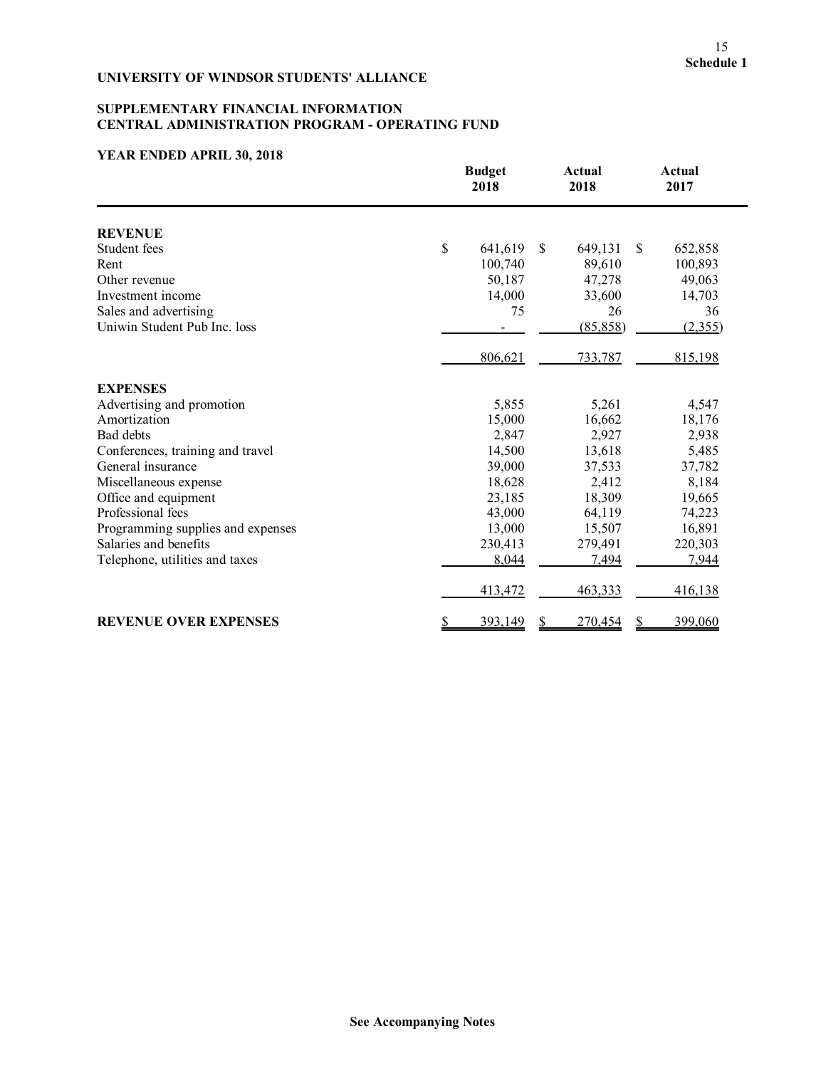# **SUPPLEMENTARY FINANCIAL INFORMATION CENTRAL ADMINISTRATION PROGRAM - OPERATING FUND**

|                                   | <b>Budget</b><br>2018          | <b>Actual</b><br>2018 | <b>Actual</b><br>2017 |
|-----------------------------------|--------------------------------|-----------------------|-----------------------|
| <b>REVENUE</b>                    |                                |                       |                       |
| Student fees                      | \$<br>641,619<br><sup>\$</sup> | 649,131               | \$<br>652,858         |
| Rent                              | 100,740                        | 89,610                | 100,893               |
| Other revenue                     | 50,187                         | 47,278                | 49,063                |
| Investment income                 | 14,000                         | 33,600                | 14,703                |
| Sales and advertising             | 75                             | 26                    | 36                    |
| Uniwin Student Pub Inc. loss      |                                | (85, 858)             | (2,355)               |
|                                   | 806,621                        | 733,787               | 815,198               |
| <b>EXPENSES</b>                   |                                |                       |                       |
| Advertising and promotion         | 5,855                          | 5,261                 | 4,547                 |
| Amortization                      | 15,000                         | 16,662                | 18,176                |
| Bad debts                         | 2,847                          | 2,927                 | 2,938                 |
| Conferences, training and travel  | 14,500                         | 13,618                | 5,485                 |
| General insurance                 | 39,000                         | 37,533                | 37,782                |
| Miscellaneous expense             | 18,628                         | 2,412                 | 8,184                 |
| Office and equipment              | 23,185                         | 18,309                | 19,665                |
| Professional fees                 | 43,000                         | 64,119                | 74,223                |
| Programming supplies and expenses | 13,000                         | 15,507                | 16,891                |
| Salaries and benefits             | 230,413                        | 279,491               | 220,303               |
| Telephone, utilities and taxes    | 8,044                          | 7,494                 | 7,944                 |
|                                   | 413,472                        | 463,333               | 416,138               |
| <b>REVENUE OVER EXPENSES</b>      | <u>\$</u><br>393,149<br>S      | 270,454               | 399,060<br>S          |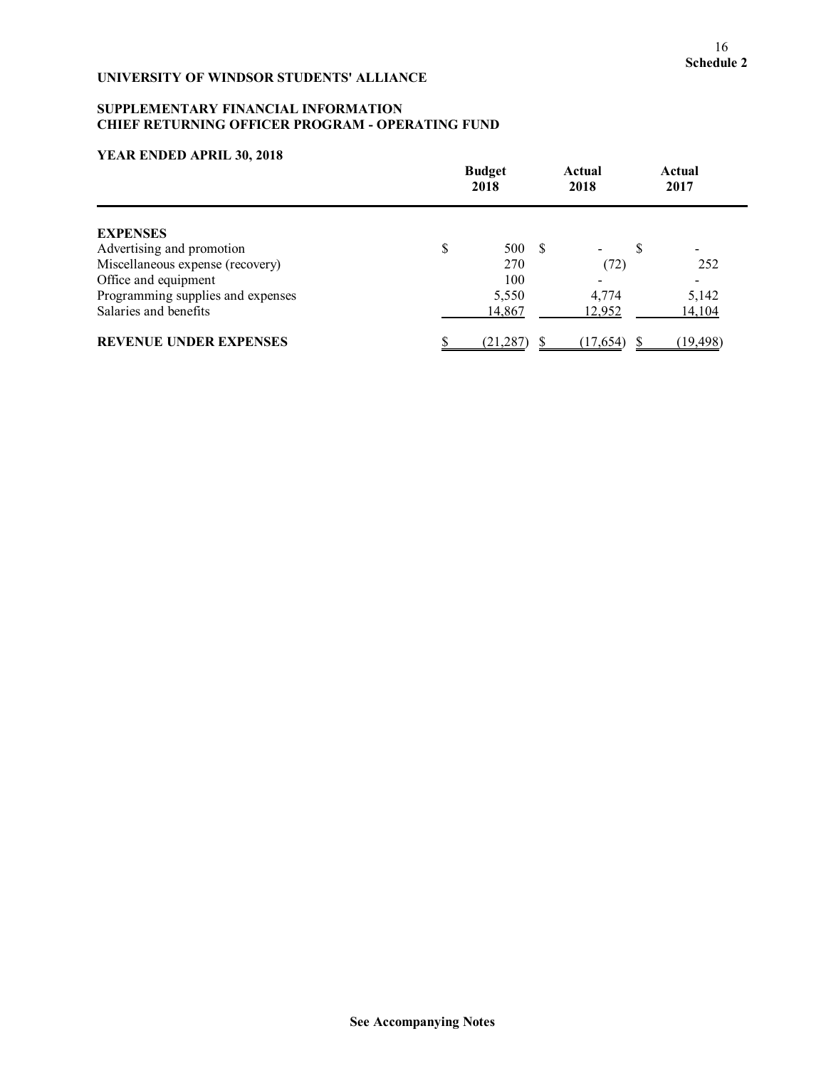## **SUPPLEMENTARY FINANCIAL INFORMATION CHIEF RETURNING OFFICER PROGRAM - OPERATING FUND**

|                                   | <b>Budget</b><br>2018 |  | Actual<br>2018 |   | Actual<br>2017 |
|-----------------------------------|-----------------------|--|----------------|---|----------------|
| <b>EXPENSES</b>                   |                       |  |                |   |                |
| Advertising and promotion         | \$<br>500 \$          |  |                | S |                |
| Miscellaneous expense (recovery)  | 270                   |  | (72)           |   | 252            |
| Office and equipment              | 100                   |  |                |   |                |
| Programming supplies and expenses | 5,550                 |  | 4,774          |   | 5,142          |
| Salaries and benefits             | 14,867                |  | 12,952         |   | 14,104         |
| <b>REVENUE UNDER EXPENSES</b>     | (21, 287)             |  | (17, 654)      |   | (19, 498)      |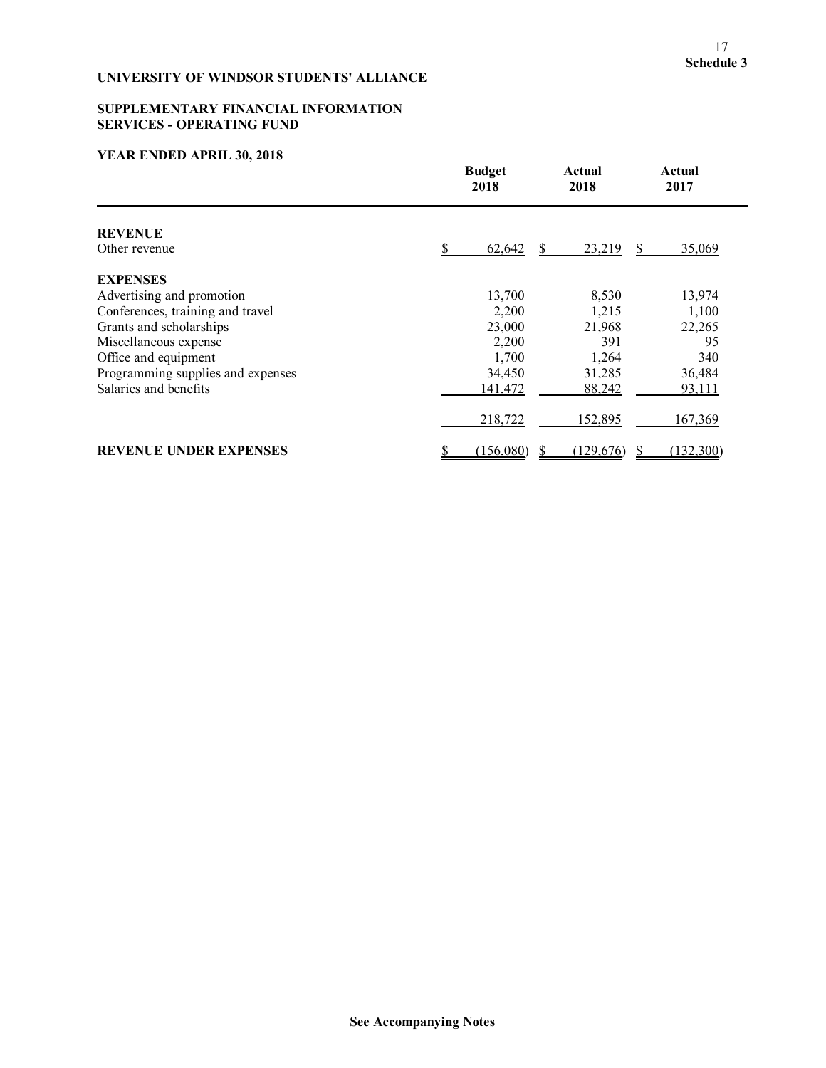# **SUPPLEMENTARY FINANCIAL INFORMATION SERVICES - OPERATING FUND**

|                                   | <b>Budget</b><br>2018 | Actual<br>2018 | Actual<br>2017 |
|-----------------------------------|-----------------------|----------------|----------------|
| <b>REVENUE</b>                    |                       |                |                |
| Other revenue                     | 62,642                | 23,219         | 35,069<br>S.   |
| <b>EXPENSES</b>                   |                       |                |                |
| Advertising and promotion         | 13,700                | 8,530          | 13,974         |
| Conferences, training and travel  | 2,200                 | 1,215          | 1,100          |
| Grants and scholarships           | 23,000                | 21,968         | 22,265         |
| Miscellaneous expense             | 2,200                 | 391            | 95             |
| Office and equipment              | 1,700                 | 1,264          | 340            |
| Programming supplies and expenses | 34,450                | 31,285         | 36,484         |
| Salaries and benefits             | 141,472               | 88,242         | 93,111         |
|                                   | 218,722               | 152,895        | 167,369        |
| <b>REVENUE UNDER EXPENSES</b>     | (156,080)             | (129,676)      | (132,300)      |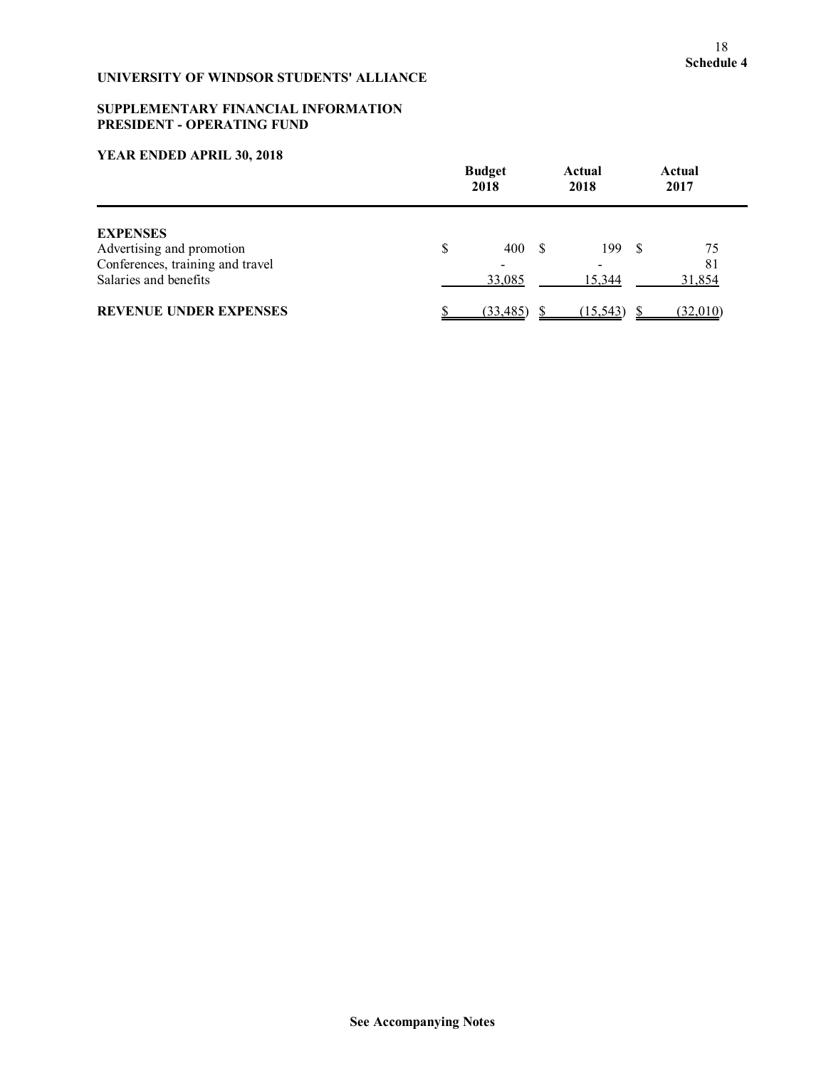## **SUPPLEMENTARY FINANCIAL INFORMATION PRESIDENT - OPERATING FUND**

|                                                                                                           |   | <b>Budget</b><br>2018 |  | Actual<br>2018 |  | Actual<br>2017     |
|-----------------------------------------------------------------------------------------------------------|---|-----------------------|--|----------------|--|--------------------|
| <b>EXPENSES</b><br>Advertising and promotion<br>Conferences, training and travel<br>Salaries and benefits | S | 400<br>33,085         |  | 199<br>15.344  |  | 75<br>81<br>31,854 |
| <b>REVENUE UNDER EXPENSES</b>                                                                             |   | (33, 485)             |  | (15, 543)      |  | (32,010)           |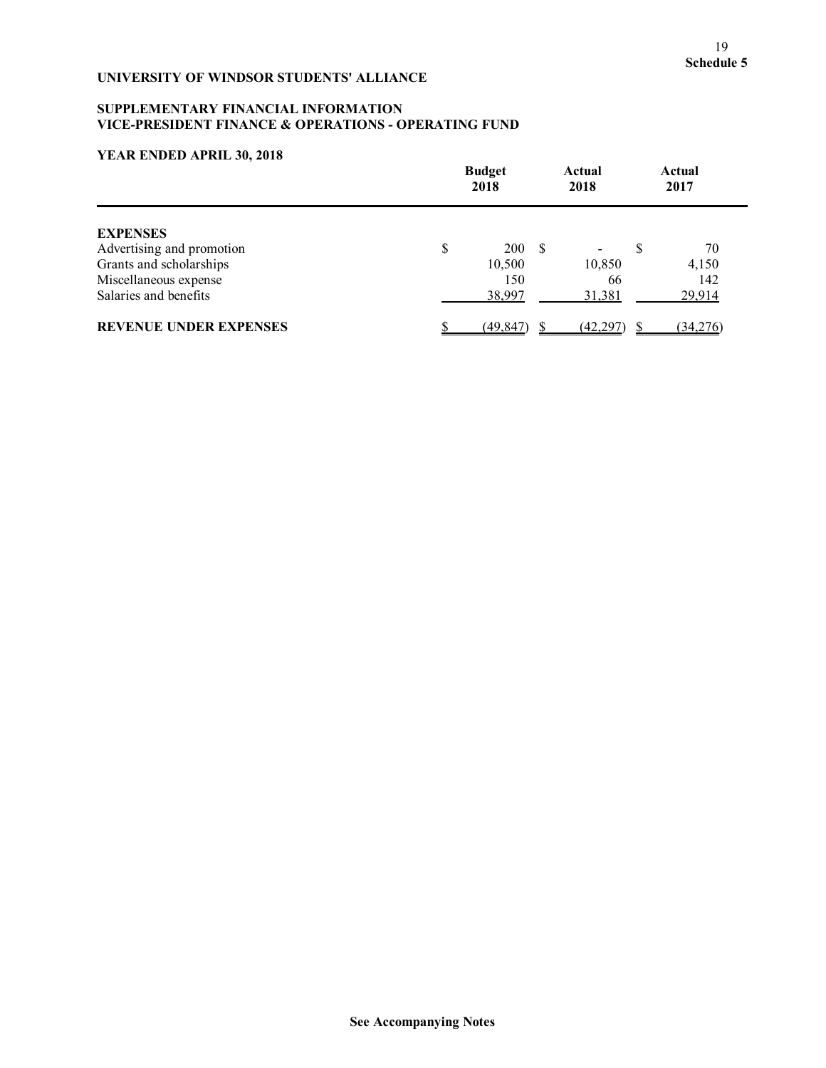# **SUPPLEMENTARY FINANCIAL INFORMATION VICE-PRESIDENT FINANCE & OPERATIONS - OPERATING FUND**

|                               | <b>Budget</b><br>2018 |     | Actual<br>2018 |   | Actual<br>2017 |
|-------------------------------|-----------------------|-----|----------------|---|----------------|
| <b>EXPENSES</b>               |                       |     |                |   |                |
| Advertising and promotion     | \$<br><b>200</b>      | - S |                | S | 70             |
| Grants and scholarships       | 10,500                |     | 10,850         |   | 4,150          |
| Miscellaneous expense         | 150                   |     | 66             |   | 142            |
| Salaries and benefits         | 38,997                |     | 31,381         |   | 29,914         |
| <b>REVENUE UNDER EXPENSES</b> | (49, 847)             |     | <u>(42,297</u> |   | (34,276)       |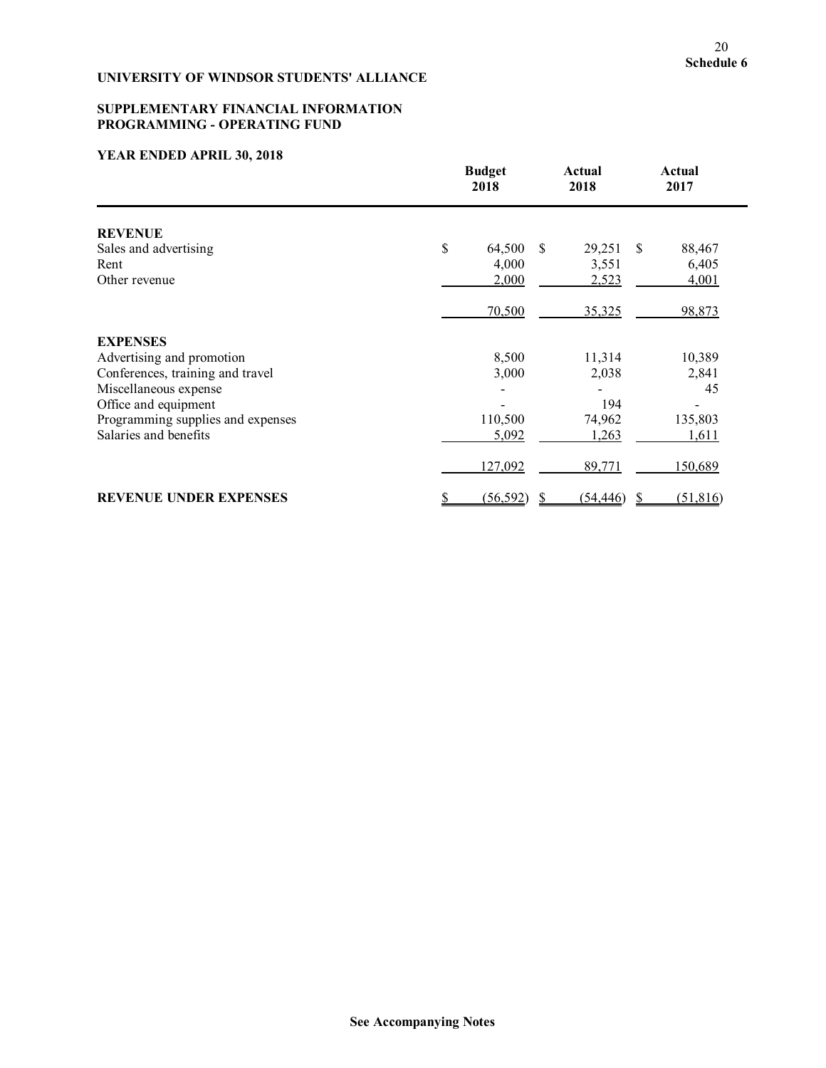## **SUPPLEMENTARY FINANCIAL INFORMATION PROGRAMMING - OPERATING FUND**

|                                   | <b>Budget</b><br>2018 | Actual<br>2018         | Actual<br>2017 |
|-----------------------------------|-----------------------|------------------------|----------------|
| <b>REVENUE</b>                    |                       |                        |                |
| Sales and advertising             | \$                    | 64,500 \$<br>29,251 \$ | 88,467         |
| Rent                              | 4,000                 | 3,551                  | 6,405          |
| Other revenue                     | 2,000                 | 2,523                  | 4,001          |
|                                   | 70,500                | 35,325                 | 98,873         |
| <b>EXPENSES</b>                   |                       |                        |                |
| Advertising and promotion         | 8,500                 | 11,314                 | 10,389         |
| Conferences, training and travel  | 3,000                 | 2,038                  | 2,841          |
| Miscellaneous expense             |                       |                        | 45             |
| Office and equipment              |                       | 194                    |                |
| Programming supplies and expenses | 110,500               | 74,962                 | 135,803        |
| Salaries and benefits             | 5,092                 | 1,263                  | 1,611          |
|                                   | 127,092               | 89,771                 | 150,689        |
| <b>REVENUE UNDER EXPENSES</b>     | (56, 592)<br>\$       | $(54, 446)$ \$<br>-S   | (51, 816)      |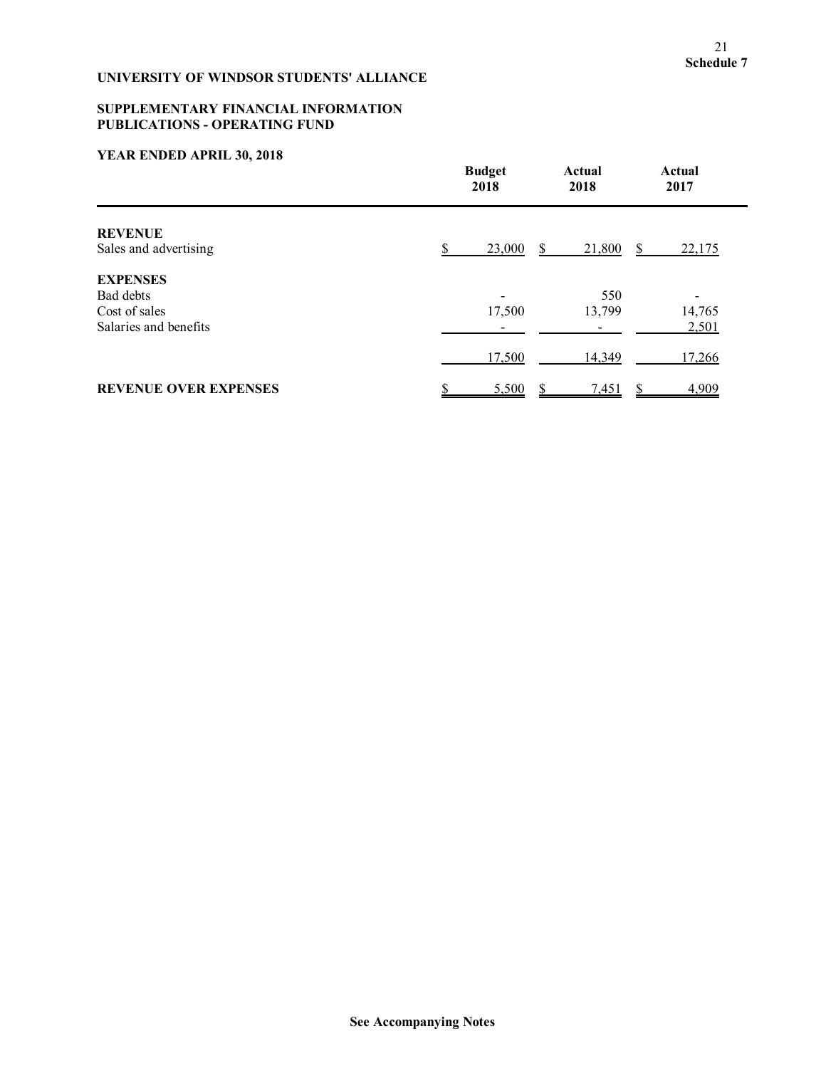# **SUPPLEMENTARY FINANCIAL INFORMATION PUBLICATIONS - OPERATING FUND**

|                                         | <b>Budget</b><br>2018    | Actual<br>2018 | Actual<br>2017 |
|-----------------------------------------|--------------------------|----------------|----------------|
| <b>REVENUE</b><br>Sales and advertising | 23,000                   | 21,800<br>S    | 22,175<br>S    |
| <b>EXPENSES</b>                         |                          |                |                |
| Bad debts                               | $\overline{\phantom{0}}$ | 550            |                |
| Cost of sales                           | 17,500                   | 13,799         | 14,765         |
| Salaries and benefits                   |                          |                | 2,501          |
|                                         | 17,500                   | 14,349         | 17,266         |
| <b>REVENUE OVER EXPENSES</b>            | 5,500                    | 7,451          | 4,909          |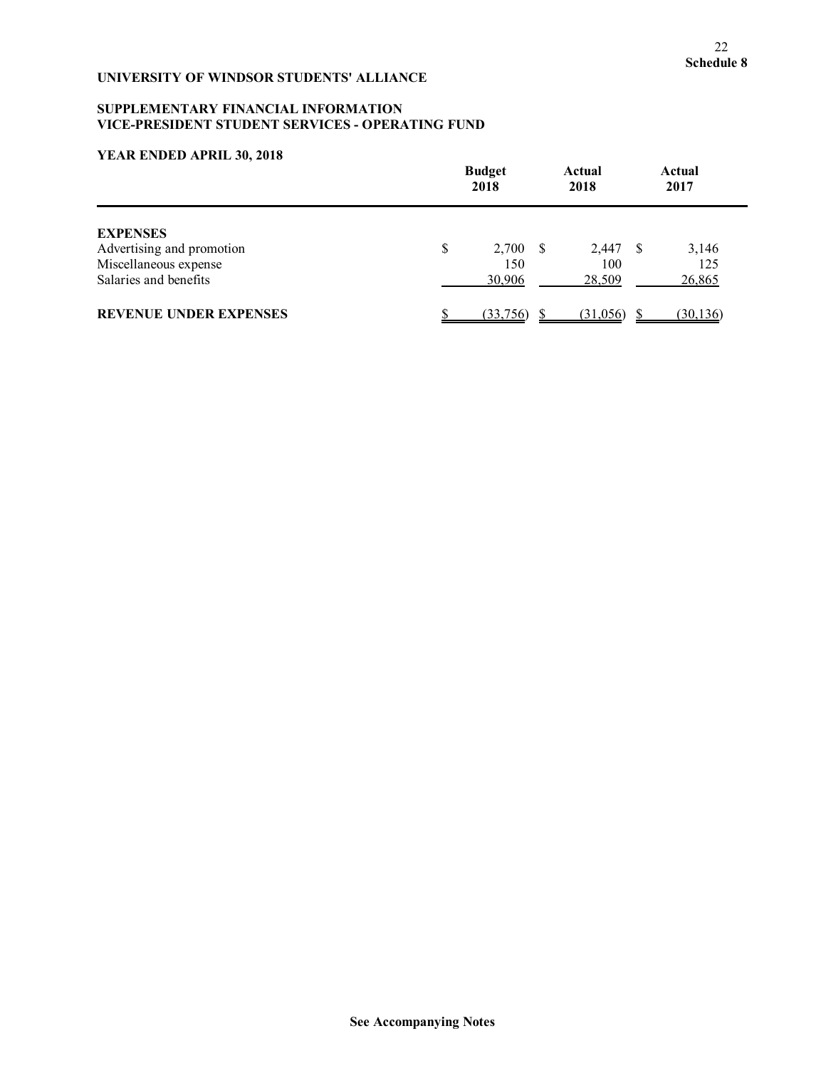## **SUPPLEMENTARY FINANCIAL INFORMATION VICE-PRESIDENT STUDENT SERVICES - OPERATING FUND**

|                                                | <b>Budget</b><br>2018 |  | Actual<br>2018 |  | Actual<br>2017 |
|------------------------------------------------|-----------------------|--|----------------|--|----------------|
| <b>EXPENSES</b><br>Advertising and promotion   | \$<br>$2,700$ \$      |  | 2,447 \$       |  | 3,146          |
| Miscellaneous expense<br>Salaries and benefits | 150<br>30,906         |  | 100<br>28,509  |  | 125<br>26,865  |
| <b>REVENUE UNDER EXPENSES</b>                  | (33,756)              |  | (31,056)       |  | (30, 136)      |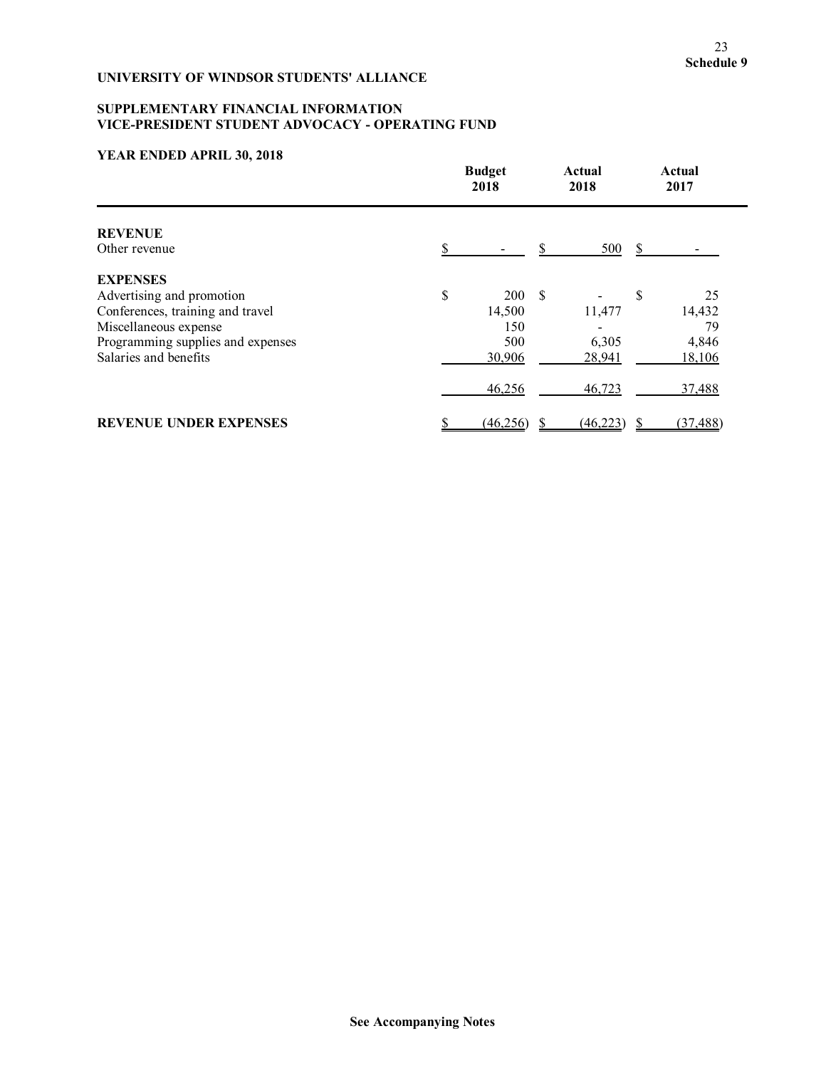# **SUPPLEMENTARY FINANCIAL INFORMATION VICE-PRESIDENT STUDENT ADVOCACY - OPERATING FUND**

|                                   | <b>Budget</b><br>2018 |           | Actual<br>2018 |           |    | Actual<br>2017 |
|-----------------------------------|-----------------------|-----------|----------------|-----------|----|----------------|
| <b>REVENUE</b>                    |                       |           |                |           |    |                |
| Other revenue                     |                       |           |                | 500       | -S |                |
| <b>EXPENSES</b>                   |                       |           |                |           |    |                |
| Advertising and promotion         | \$                    | 200S      |                |           | \$ | 25             |
| Conferences, training and travel  |                       | 14,500    |                | 11,477    |    | 14,432         |
| Miscellaneous expense             |                       | 150       |                |           |    | 79             |
| Programming supplies and expenses |                       | 500       |                | 6,305     |    | 4,846          |
| Salaries and benefits             |                       | 30,906    |                | 28,941    |    | 18,106         |
|                                   |                       | 46,256    |                | 46,723    |    | 37,488         |
| <b>REVENUE UNDER EXPENSES</b>     | S                     | (46, 256) |                | (46, 223) |    | (37, 488)      |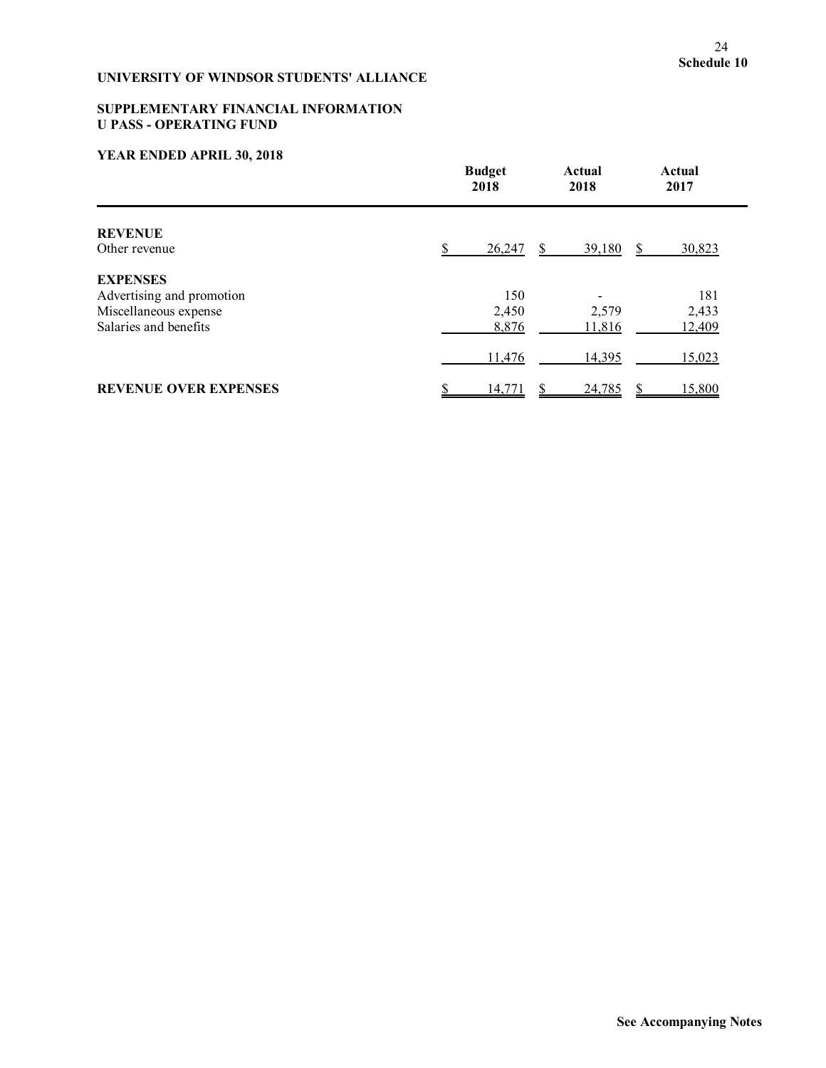# **SUPPLEMENTARY FINANCIAL INFORMATION U PASS - OPERATING FUND**

|                              | <b>Budget</b><br>2018 | Actual<br>2018 | Actual<br>2017 |
|------------------------------|-----------------------|----------------|----------------|
| <b>REVENUE</b>               |                       |                |                |
| Other revenue                | 26,247<br>\$.         | 39,180         | 30,823         |
| <b>EXPENSES</b>              |                       |                |                |
| Advertising and promotion    | 150                   |                | 181            |
| Miscellaneous expense        | 2,450                 | 2,579          | 2,433          |
| Salaries and benefits        | 8,876                 | 11,816         | 12,409         |
|                              | 11,476                | 14,395         | 15,023         |
| <b>REVENUE OVER EXPENSES</b> | 14,771                | 24,785         | 15,800         |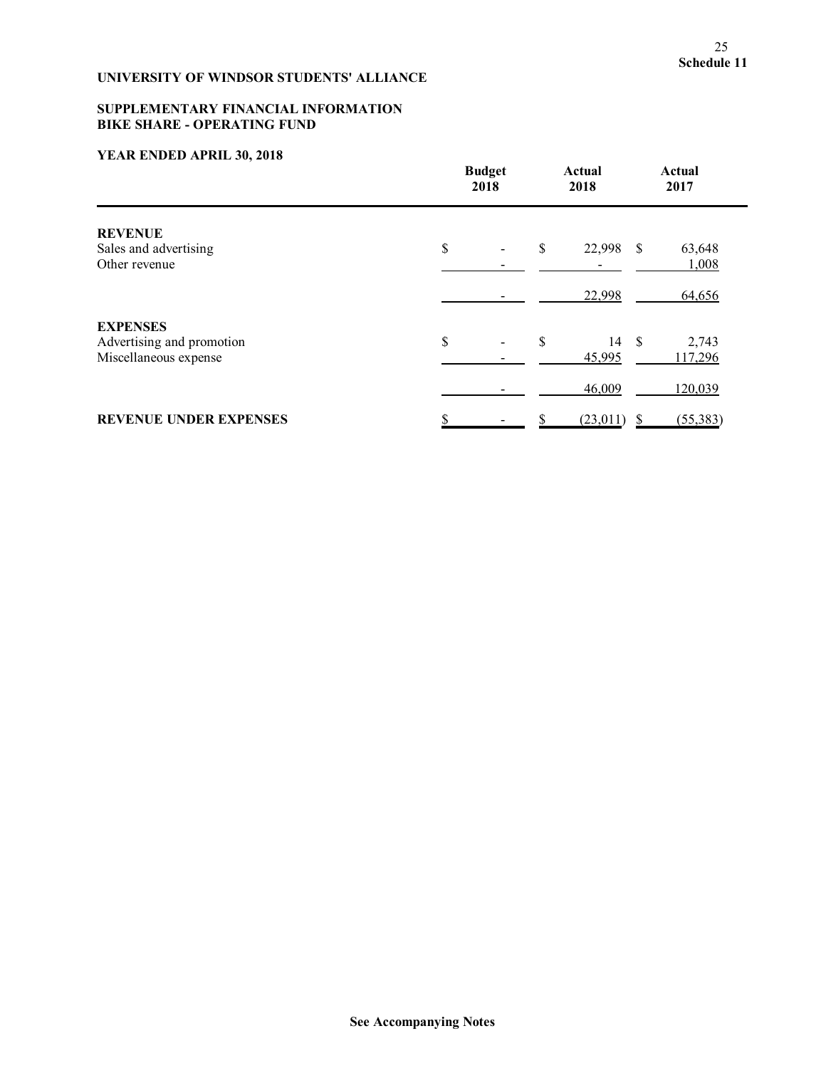## **SUPPLEMENTARY FINANCIAL INFORMATION BIKE SHARE - OPERATING FUND**

|                                                                       | <b>Budget</b><br>2018          |    | Actual<br>2018  |     | Actual<br>2017   |
|-----------------------------------------------------------------------|--------------------------------|----|-----------------|-----|------------------|
| <b>REVENUE</b><br>Sales and advertising<br>Other revenue              | \$<br>$\overline{\phantom{0}}$ | \$ | 22,998 \$       |     | 63,648<br>1,008  |
|                                                                       |                                |    | 22,998          |     | 64,656           |
| <b>EXPENSES</b><br>Advertising and promotion<br>Miscellaneous expense | \$                             | \$ | 14 \$<br>45,995 |     | 2,743<br>117,296 |
|                                                                       |                                |    | 46,009          |     | 120,039          |
| <b>REVENUE UNDER EXPENSES</b>                                         |                                |    | (23,011)        | -\$ | (55, 383)        |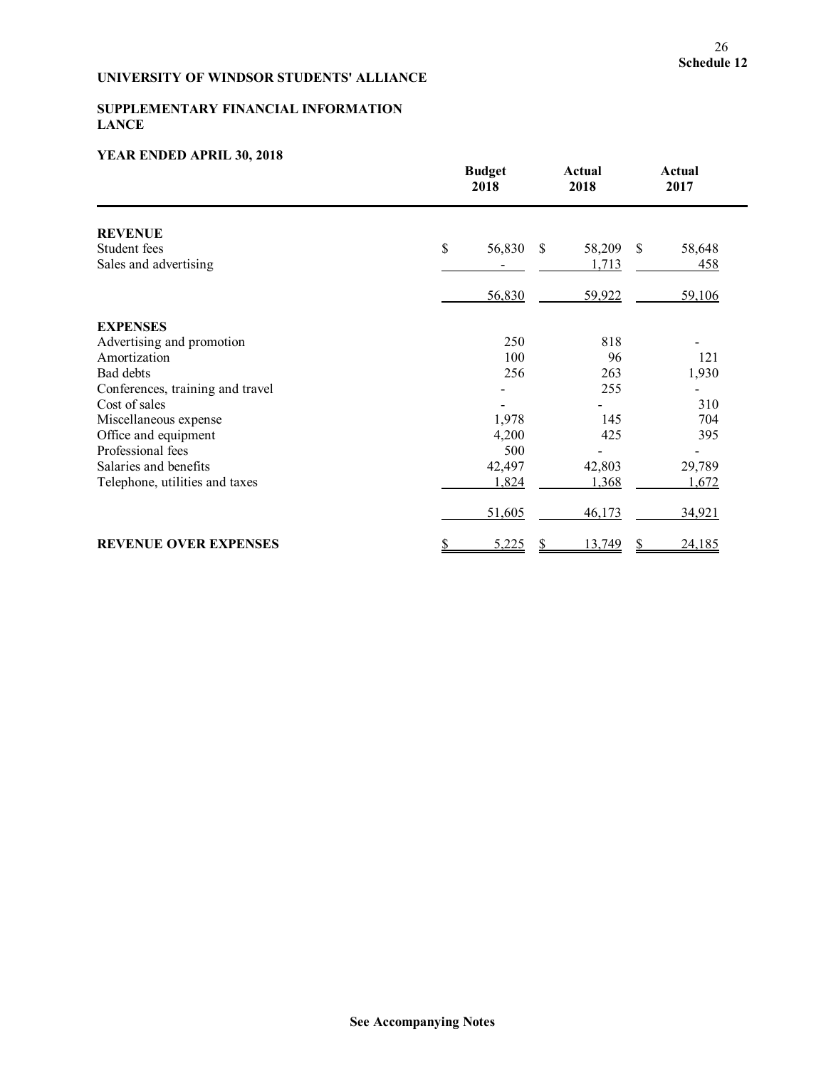## **SUPPLEMENTARY FINANCIAL INFORMATION LANCE**

|                                  | <b>Budget</b><br>2018 | Actual<br>2018 | Actual<br>2017 |  |
|----------------------------------|-----------------------|----------------|----------------|--|
| <b>REVENUE</b>                   |                       |                |                |  |
| Student fees                     | \$<br>56,830<br>\$    | 58,209         | \$<br>58,648   |  |
| Sales and advertising            |                       | 1,713          | 458            |  |
|                                  | 56,830                | 59,922         | 59,106         |  |
| <b>EXPENSES</b>                  |                       |                |                |  |
| Advertising and promotion        | 250                   | 818            |                |  |
| Amortization                     | 100                   | 96             | 121            |  |
| Bad debts                        | 256                   | 263            | 1,930          |  |
| Conferences, training and travel |                       | 255            |                |  |
| Cost of sales                    |                       |                | 310            |  |
| Miscellaneous expense            | 1,978                 | 145            | 704            |  |
| Office and equipment             | 4,200                 | 425            | 395            |  |
| Professional fees                | 500                   |                |                |  |
| Salaries and benefits            | 42,497                | 42,803         | 29,789         |  |
| Telephone, utilities and taxes   | 1,824                 | 1,368          | 1,672          |  |
|                                  | 51,605                | 46,173         | 34,921         |  |
| <b>REVENUE OVER EXPENSES</b>     | \$<br>5,225<br>S      | 13,749         | S<br>24,185    |  |